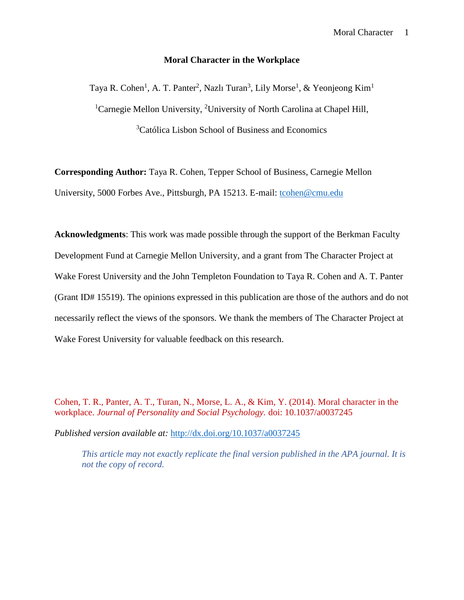### **Moral Character in the Workplace**

Taya R. Cohen<sup>1</sup>, A. T. Panter<sup>2</sup>, Nazlı Turan<sup>3</sup>, Lily Morse<sup>1</sup>, & Yeonjeong Kim<sup>1</sup> <sup>1</sup>Carnegie Mellon University, <sup>2</sup>University of North Carolina at Chapel Hill, <sup>3</sup>Católica Lisbon School of Business and Economics

**Corresponding Author:** Taya R. Cohen, Tepper School of Business, Carnegie Mellon University, 5000 Forbes Ave., Pittsburgh, PA 15213. E-mail: tcohen@cmu.edu

**Acknowledgments**: This work was made possible through the support of the Berkman Faculty Development Fund at Carnegie Mellon University, and a grant from The Character Project at Wake Forest University and the John Templeton Foundation to Taya R. Cohen and A. T. Panter (Grant ID# 15519). The opinions expressed in this publication are those of the authors and do not necessarily reflect the views of the sponsors. We thank the members of The Character Project at Wake Forest University for valuable feedback on this research.

Cohen, T. R., Panter, A. T., Turan, N., Morse, L. A., & Kim, Y. (2014). Moral character in the workplace. *Journal of Personality and Social Psychology.* doi: 10.1037/a0037245

*Published version available at:* http://dx.doi.org/10.1037/a0037245

*This article may not exactly replicate the final version published in the APA journal. It is not the copy of record.*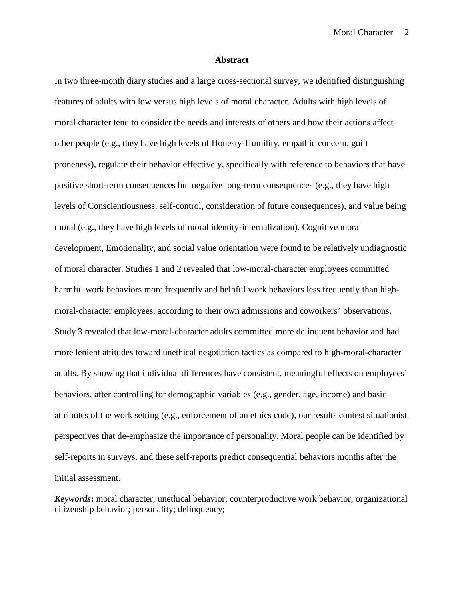#### **Abstract**

In two three-month diary studies and a large cross-sectional survey, we identified distinguishing features of adults with low versus high levels of moral character. Adults with high levels of moral character tend to consider the needs and interests of others and how their actions affect other people (e.g., they have high levels of Honesty-Humility, empathic concern, guilt proneness), regulate their behavior effectively, specifically with reference to behaviors that have positive short-term consequences but negative long-term consequences (e.g., they have high levels of Conscientiousness, self-control, consideration of future consequences), and value being moral (e.g., they have high levels of moral identity-internalization). Cognitive moral development, Emotionality, and social value orientation were found to be relatively undiagnostic of moral character. Studies 1 and 2 revealed that low-moral-character employees committed harmful work behaviors more frequently and helpful work behaviors less frequently than high moral-character employees, according to their own admissions and coworkers' observations. Study 3 revealed that low-moral-character adults committed more delinquent behavior and had more lenient attitudes toward unethical negotiation tactics as compared to high-moral-character adults. By showing that individual differences have consistent, meaningful effects on employees' behaviors, after controlling for demographic variables (e.g., gender, age, income) and basic attributes of the work setting (e.g., enforcement of an ethics code), our results contest situationist perspectives that de-emphasize the importance of personality. Moral people can be identified by self-reports in surveys, and these self-reports predict consequential behaviors months after the initial assessment.

*Keywords***:** moral character; unethical behavior; counterproductive work behavior; organizational citizenship behavior; personality; delinquency;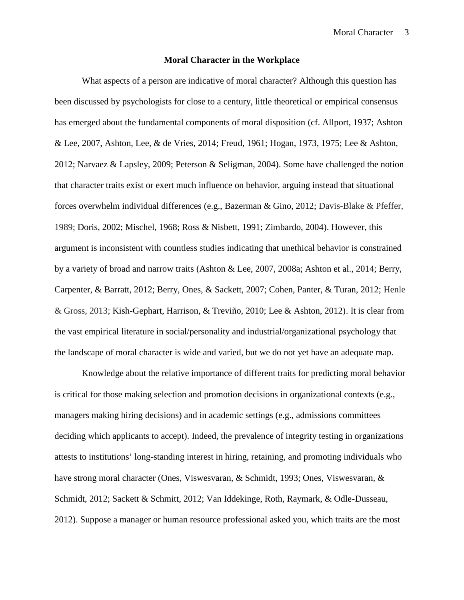#### **Moral Character in the Workplace**

What aspects of a person are indicative of moral character? Although this question has been discussed by psychologists for close to a century, little theoretical or empirical consensus has emerged about the fundamental components of moral disposition (cf. Allport, 1937; Ashton & Lee, 2007, Ashton, Lee, & de Vries, 2014; Freud, 1961; Hogan, 1973, 1975; Lee & Ashton, 2012; Narvaez & Lapsley, 2009; Peterson & Seligman, 2004). Some have challenged the notion that character traits exist or exert much influence on behavior, arguing instead that situational forces overwhelm individual differences (e.g., Bazerman & Gino, 2012; Davis-Blake & Pfeffer, 1989; Doris, 2002; Mischel, 1968; Ross & Nisbett, 1991; Zimbardo, 2004). However, this argument is inconsistent with countless studies indicating that unethical behavior is constrained by a variety of broad and narrow traits (Ashton & Lee, 2007, 2008a; Ashton et al., 2014; Berry, Carpenter, & Barratt, 2012; Berry, Ones, & Sackett, 2007; Cohen, Panter, & Turan, 2012; Henle & Gross, 2013; Kish-Gephart, Harrison, & Treviño, 2010; Lee & Ashton, 2012). It is clear from the vast empirical literature in social/personality and industrial/organizational psychology that the landscape of moral character is wide and varied, but we do not yet have an adequate map.

Knowledge about the relative importance of different traits for predicting moral behavior is critical for those making selection and promotion decisions in organizational contexts (e.g., managers making hiring decisions) and in academic settings (e.g., admissions committees deciding which applicants to accept). Indeed, the prevalence of integrity testing in organizations attests to institutions' long-standing interest in hiring, retaining, and promoting individuals who have strong moral character (Ones, Viswesvaran, & Schmidt, 1993; Ones, Viswesvaran, & Schmidt, 2012; Sackett & Schmitt, 2012; Van Iddekinge, Roth, Raymark, & Odle-Dusseau, 2012). Suppose a manager or human resource professional asked you, which traits are the most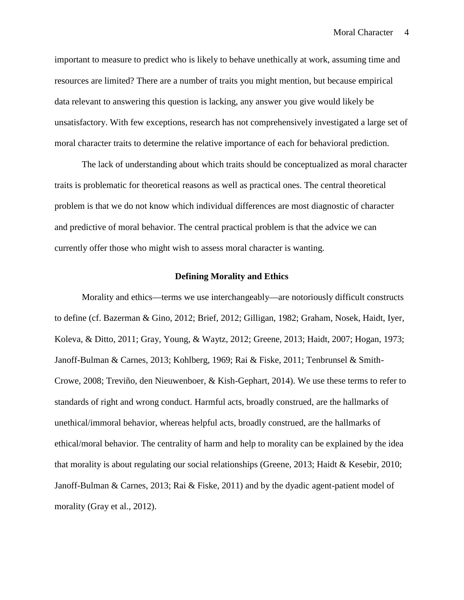important to measure to predict who is likely to behave unethically at work, assuming time and resources are limited? There are a number of traits you might mention, but because empirical data relevant to answering this question is lacking, any answer you give would likely be unsatisfactory. With few exceptions, research has not comprehensively investigated a large set of moral character traits to determine the relative importance of each for behavioral prediction.

The lack of understanding about which traits should be conceptualized as moral character traits is problematic for theoretical reasons as well as practical ones. The central theoretical problem is that we do not know which individual differences are most diagnostic of character and predictive of moral behavior. The central practical problem is that the advice we can currently offer those who might wish to assess moral character is wanting.

#### **Defining Morality and Ethics**

Morality and ethics—terms we use interchangeably—are notoriously difficult constructs to define (cf. Bazerman & Gino, 2012; Brief, 2012; Gilligan, 1982; Graham, Nosek, Haidt, Iyer, Koleva, & Ditto, 2011; Gray, Young, & Waytz, 2012; Greene, 2013; Haidt, 2007; Hogan, 1973; Janoff-Bulman & Carnes, 2013; Kohlberg, 1969; Rai & Fiske, 2011; Tenbrunsel & Smith- Crowe, 2008; Treviño, den Nieuwenboer, & Kish-Gephart, 2014). We use these terms to refer to standards of right and wrong conduct. Harmful acts, broadly construed, are the hallmarks of unethical/immoral behavior, whereas helpful acts, broadly construed, are the hallmarks of ethical/moral behavior. The centrality of harm and help to morality can be explained by the idea that morality is about regulating our social relationships (Greene, 2013; Haidt & Kesebir, 2010; Janoff-Bulman & Carnes, 2013; Rai & Fiske, 2011) and by the dyadic agent-patient model of morality (Gray et al., 2012).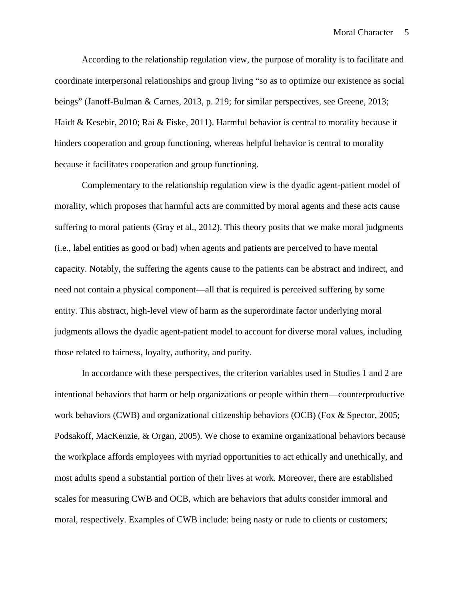According to the relationship regulation view, the purpose of morality is to facilitate and coordinate interpersonal relationships and group living "so as to optimize our existence as social beings" (Janoff-Bulman & Carnes, 2013, p. 219; for similar perspectives, see Greene, 2013; Haidt & Kesebir, 2010; Rai & Fiske, 2011). Harmful behavior is central to morality because it hinders cooperation and group functioning, whereas helpful behavior is central to morality because it facilitates cooperation and group functioning.

Complementary to the relationship regulation view is the dyadic agent-patient model of morality, which proposes that harmful acts are committed by moral agents and these acts cause suffering to moral patients (Gray et al., 2012). This theory posits that we make moral judgments (i.e., label entities as good or bad) when agents and patients are perceived to have mental capacity. Notably, the suffering the agents cause to the patients can be abstract and indirect, and need not contain a physical component—all that is required is perceived suffering by some entity. This abstract, high-level view of harm as the superordinate factor underlying moral judgments allows the dyadic agent-patient model to account for diverse moral values, including those related to fairness, loyalty, authority, and purity.

In accordance with these perspectives, the criterion variables used in Studies 1 and 2 are intentional behaviors that harm or help organizations or people within them—counterproductive work behaviors (CWB) and organizational citizenship behaviors (OCB) (Fox & Spector, 2005; Podsakoff, MacKenzie, & Organ, 2005). We chose to examine organizational behaviors because the workplace affords employees with myriad opportunities to act ethically and unethically, and most adults spend a substantial portion of their lives at work. Moreover, there are established scales for measuring CWB and OCB, which are behaviors that adults consider immoral and moral, respectively. Examples of CWB include: being nasty or rude to clients or customers;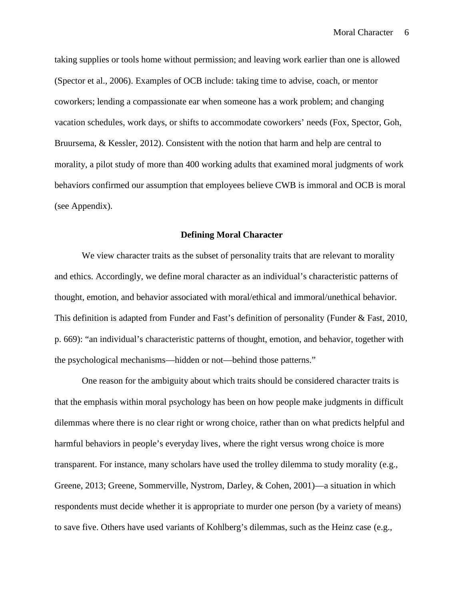taking supplies or tools home without permission; and leaving work earlier than one is allowed (Spector et al., 2006). Examples of OCB include: taking time to advise, coach, or mentor coworkers; lending a compassionate ear when someone has a work problem; and changing vacation schedules, work days, or shifts to accommodate coworkers' needs (Fox, Spector, Goh, Bruursema, & Kessler, 2012). Consistent with the notion that harm and help are central to morality, a pilot study of more than 400 working adults that examined moral judgments of work behaviors confirmed our assumption that employees believe CWB is immoral and OCB is moral (see Appendix).

### **Defining Moral Character**

We view character traits as the subset of personality traits that are relevant to morality and ethics. Accordingly, we define moral character as an individual's characteristic patterns of thought, emotion, and behavior associated with moral/ethical and immoral/unethical behavior. This definition is adapted from Funder and Fast's definition of personality (Funder & Fast, 2010, p. 669): "an individual's characteristic patterns of thought, emotion, and behavior, together with the psychological mechanisms—hidden or not—behind those patterns."

One reason for the ambiguity about which traits should be considered character traits is that the emphasis within moral psychology has been on how people make judgments in difficult dilemmas where there is no clear right or wrong choice, rather than on what predicts helpful and harmful behaviors in people's everyday lives, where the right versus wrong choice is more transparent. For instance, many scholars have used the trolley dilemma to study morality (e.g., Greene, 2013; Greene, Sommerville, Nystrom, Darley, & Cohen, 2001)—a situation in which respondents must decide whether it is appropriate to murder one person (by a variety of means) to save five. Others have used variants of Kohlberg's dilemmas, such as the Heinz case (e.g.,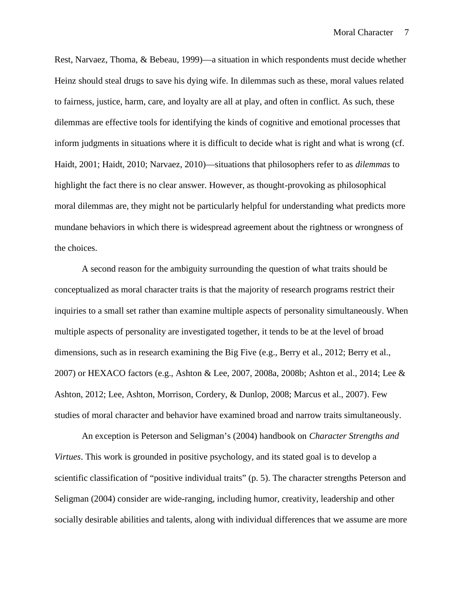Rest, Narvaez, Thoma, & Bebeau, 1999)—a situation in which respondents must decide whether Heinz should steal drugs to save his dying wife. In dilemmas such as these, moral values related to fairness, justice, harm, care, and loyalty are all at play, and often in conflict. As such, these dilemmas are effective tools for identifying the kinds of cognitive and emotional processes that inform judgments in situations where it is difficult to decide what is right and what is wrong (cf. Haidt, 2001; Haidt, 2010; Narvaez, 2010)—situations that philosophers refer to as *dilemmas* to highlight the fact there is no clear answer. However, as thought-provoking as philosophical moral dilemmas are, they might not be particularly helpful for understanding what predicts more mundane behaviors in which there is widespread agreement about the rightness or wrongness of the choices.

A second reason for the ambiguity surrounding the question of what traits should be conceptualized as moral character traits is that the majority of research programs restrict their inquiries to a small set rather than examine multiple aspects of personality simultaneously. When multiple aspects of personality are investigated together, it tends to be at the level of broad dimensions, such as in research examining the Big Five (e.g., Berry et al., 2012; Berry et al., 2007) or HEXACO factors (e.g., Ashton & Lee, 2007, 2008a, 2008b; Ashton et al., 2014; Lee & Ashton, 2012; Lee, Ashton, Morrison, Cordery, & Dunlop, 2008; Marcus et al., 2007). Few studies of moral character and behavior have examined broad and narrow traits simultaneously.

An exception is Peterson and Seligman's (2004) handbook on *Character Strengths and Virtues*. This work is grounded in positive psychology, and its stated goal is to develop a scientific classification of "positive individual traits" (p. 5). The character strengths Peterson and Seligman (2004) consider are wide-ranging, including humor, creativity, leadership and other socially desirable abilities and talents, along with individual differences that we assume are more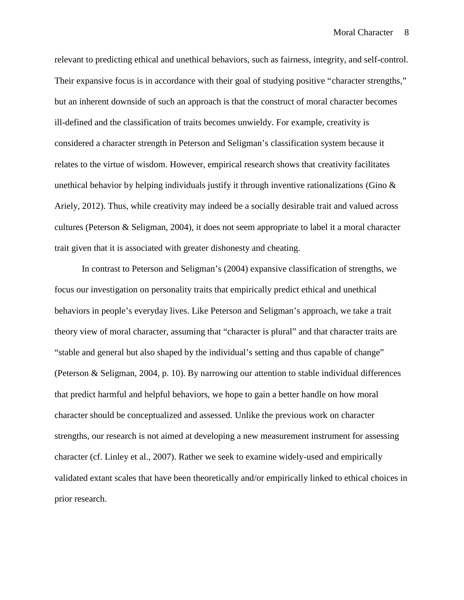relevant to predicting ethical and unethical behaviors, such as fairness, integrity, and self-control. Their expansive focus is in accordance with their goal of studying positive "character strengths," but an inherent downside of such an approach is that the construct of moral character becomes ill-defined and the classification of traits becomes unwieldy. For example, creativity is considered a character strength in Peterson and Seligman's classification system because it relates to the virtue of wisdom. However, empirical research shows that creativity facilitates unethical behavior by helping individuals justify it through inventive rationalizations (Gino  $\&$ Ariely, 2012). Thus, while creativity may indeed be a socially desirable trait and valued across cultures (Peterson & Seligman, 2004), it does not seem appropriate to label it a moral character trait given that it is associated with greater dishonesty and cheating.

In contrast to Peterson and Seligman's (2004) expansive classification of strengths, we focus our investigation on personality traits that empirically predict ethical and unethical behaviors in people's everyday lives. Like Peterson and Seligman's approach, we take a trait theory view of moral character, assuming that "character is plural" and that character traits are "stable and general but also shaped by the individual's setting and thus capable of change" (Peterson & Seligman, 2004, p. 10). By narrowing our attention to stable individual differences that predict harmful and helpful behaviors, we hope to gain a better handle on how moral character should be conceptualized and assessed. Unlike the previous work on character strengths, our research is not aimed at developing a new measurement instrument for assessing character (cf. Linley et al., 2007). Rather we seek to examine widely-used and empirically validated extant scales that have been theoretically and/or empirically linked to ethical choices in prior research.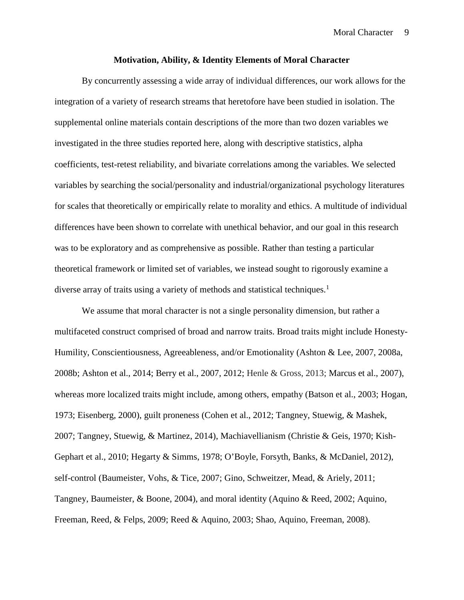## **Motivation, Ability, & Identity Elements of Moral Character**

By concurrently assessing a wide array of individual differences, our work allows for the integration of a variety of research streams that heretofore have been studied in isolation. The supplemental online materials contain descriptions of the more than two dozen variables we investigated in the three studies reported here, along with descriptive statistics, alpha coefficients, test-retest reliability, and bivariate correlations among the variables. We selected variables by searching the social/personality and industrial/organizational psychology literatures for scales that theoretically or empirically relate to morality and ethics. A multitude of individual differences have been shown to correlate with unethical behavior, and our goal in this research was to be exploratory and as comprehensive as possible. Rather than testing a particular theoretical framework or limited set of variables, we instead sought to rigorously examine a diverse array of traits using a variety of methods and statistical techniques.<sup>1</sup>

We assume that moral character is not a single personality dimension, but rather a multifaceted construct comprised of broad and narrow traits. Broad traits might include Honesty- Humility, Conscientiousness, Agreeableness, and/or Emotionality (Ashton & Lee, 2007, 2008a, 2008b; Ashton et al., 2014; Berry et al., 2007, 2012; Henle & Gross, 2013; Marcus et al., 2007), whereas more localized traits might include, among others, empathy (Batson et al., 2003; Hogan, 1973; Eisenberg, 2000), guilt proneness (Cohen et al., 2012; Tangney, Stuewig, & Mashek, 2007; Tangney, Stuewig, & Martinez, 2014), Machiavellianism (Christie & Geis, 1970; Kish- Gephart et al., 2010; Hegarty & Simms, 1978; O'Boyle, Forsyth, Banks, & McDaniel, 2012), self-control (Baumeister, Vohs, & Tice, 2007; Gino, Schweitzer, Mead, & Ariely, 2011; Tangney, Baumeister, & Boone, 2004), and moral identity (Aquino & Reed, 2002; Aquino, Freeman, Reed, & Felps, 2009; Reed & Aquino, 2003; Shao, Aquino, Freeman, 2008).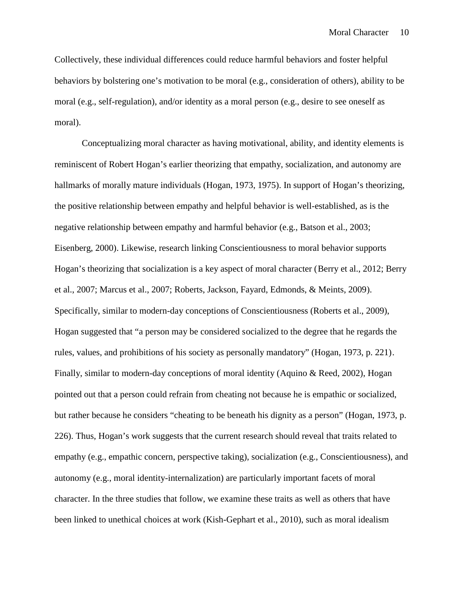Collectively, these individual differences could reduce harmful behaviors and foster helpful behaviors by bolstering one's motivation to be moral (e.g., consideration of others), ability to be moral (e.g., self-regulation), and/or identity as a moral person (e.g., desire to see oneself as moral).<br>Conceptualizing moral character as having motivational, ability, and identity elements is

reminiscent of Robert Hogan's earlier theorizing that empathy, socialization, and autonomy are hallmarks of morally mature individuals (Hogan, 1973, 1975). In support of Hogan's theorizing, the positive relationship between empathy and helpful behavior is well-established, as is the negative relationship between empathy and harmful behavior (e.g., Batson et al., 2003; Eisenberg, 2000). Likewise, research linking Conscientiousness to moral behavior supports Hogan's theorizing that socialization is a key aspect of moral character (Berry et al., 2012; Berry et al., 2007; Marcus et al., 2007; Roberts, Jackson, Fayard, Edmonds, & Meints, 2009). Specifically, similar to modern-day conceptions of Conscientiousness (Roberts et al., 2009), Hogan suggested that "a person may be considered socialized to the degree that he regards the rules, values, and prohibitions of his society as personally mandatory" (Hogan, 1973, p. 221). Finally, similar to modern-day conceptions of moral identity (Aquino & Reed, 2002), Hogan pointed out that a person could refrain from cheating not because he is empathic or socialized, but rather because he considers "cheating to be beneath his dignity as a person" (Hogan, 1973, p. 226). Thus, Hogan's work suggests that the current research should reveal that traits related to empathy (e.g., empathic concern, perspective taking), socialization (e.g., Conscientiousness), and autonomy (e.g., moral identity-internalization) are particularly important facets of moral character. In the three studies that follow, we examine these traits as well as others that have been linked to unethical choices at work (Kish-Gephart et al., 2010), such as moral idealism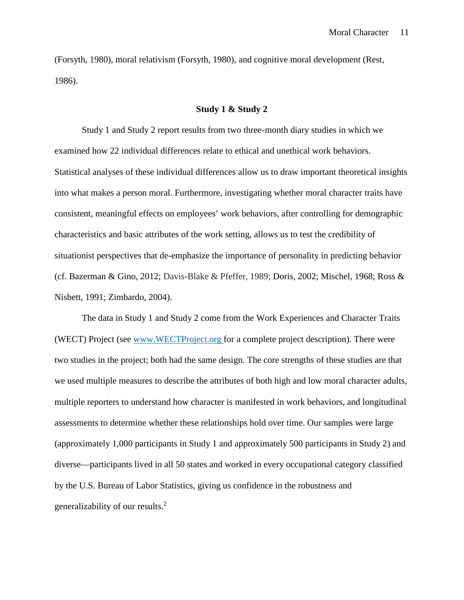(Forsyth, 1980), moral relativism (Forsyth, 1980), and cognitive moral development (Rest, 1986).

#### **Study 1 & Study 2**

Study 1 and Study 2 report results from two three-month diary studies in which we examined how 22 individual differences relate to ethical and unethical work behaviors. Statistical analyses of these individual differences allow us to draw important theoretical insights into what makes a person moral. Furthermore, investigating whether moral character traits have consistent, meaningful effects on employees' work behaviors, after controlling for demographic characteristics and basic attributes of the work setting, allows us to test the credibility of situationist perspectives that de-emphasize the importance of personality in predicting behavior (cf. Bazerman & Gino, 2012; Davis-Blake & Pfeffer, 1989; Doris, 2002; Mischel, 1968; Ross & Nisbett, 1991; Zimbardo, 2004).

The data in Study 1 and Study 2 come from the Work Experiences and Character Traits (WECT) Project (see www.WECTProject.org for a complete project description). There were two studies in the project; both had the same design. The core strengths of these studies are that we used multiple measures to describe the attributes of both high and low moral character adults, multiple reporters to understand how character is manifested in work behaviors, and longitudinal assessments to determine whether these relationships hold over time. Our samples were large (approximately 1,000 participants in Study 1 and approximately 500 participants in Study 2) and diverse—participants lived in all 50 states and worked in every occupational category classified by the U.S. Bureau of Labor Statistics, giving us confidence in the robustness and generalizability of our results.<sup>2</sup>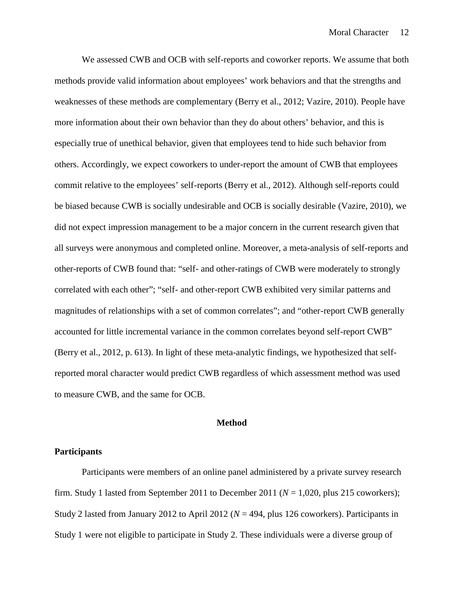We assessed CWB and OCB with self-reports and coworker reports. We assume that both methods provide valid information about employees' work behaviors and that the strengths and weaknesses of these methods are complementary (Berry et al., 2012; Vazire, 2010). People have more information about their own behavior than they do about others' behavior, and this is especially true of unethical behavior, given that employees tend to hide such behavior from others. Accordingly, we expect coworkers to under-report the amount of CWB that employees commit relative to the employees' self-reports (Berry et al., 2012). Although self-reports could be biased because CWB is socially undesirable and OCB is socially desirable (Vazire, 2010), we did not expect impression management to be a major concern in the current research given that all surveys were anonymous and completed online. Moreover, a meta-analysis of self-reports and other-reports of CWB found that: "self- and other-ratings of CWB were moderately to strongly correlated with each other"; "self- and other-report CWB exhibited very similar patterns and magnitudes of relationships with a set of common correlates"; and "other-report CWB generally accounted for little incremental variance in the common correlates beyond self-report CWB" (Berry et al., 2012, p. 613). In light of these meta-analytic findings, we hypothesized that selfreported moral character would predict CWB regardless of which assessment method was used to measure CWB, and the same for OCB.

#### **Method**

### **Participants**

Participants were members of an online panel administered by a private survey research firm. Study 1 lasted from September 2011 to December 2011 ( $N = 1,020$ , plus 215 coworkers); Study 2 lasted from January 2012 to April 2012 (*N* = 494, plus 126 coworkers). Participants in Study 1 were not eligible to participate in Study 2. These individuals were a diverse group of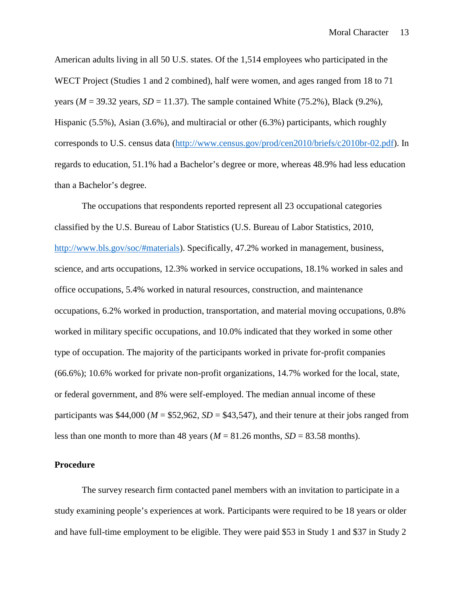American adults living in all 50 U.S. states. Of the 1,514 employees who participated in the WECT Project (Studies 1 and 2 combined), half were women, and ages ranged from 18 to 71 years ( $M = 39.32$  years,  $SD = 11.37$ ). The sample contained White (75.2%), Black (9.2%), Hispanic (5.5%), Asian (3.6%), and multiracial or other (6.3%) participants, which roughly corresponds to U.S. census data (http://www.census.gov/prod/cen2010/briefs/c2010br-02.pdf). In regards to education, 51.1% had a Bachelor's degree or more, whereas 48.9% had less education than a Bachelor's degree.

The occupations that respondents reported represent all 23 occupational categories classified by the U.S. Bureau of Labor Statistics (U.S. Bureau of Labor Statistics, 2010, http://www.bls.gov/soc/#materials). Specifically, 47.2% worked in management, business, science, and arts occupations, 12.3% worked in service occupations, 18.1% worked in sales and office occupations, 5.4% worked in natural resources, construction, and maintenance occupations, 6.2% worked in production, transportation, and material moving occupations, 0.8% worked in military specific occupations, and 10.0% indicated that they worked in some other type of occupation. The majority of the participants worked in private for-profit companies (66.6%); 10.6% worked for private non-profit organizations, 14.7% worked for the local, state, or federal government, and 8% were self-employed. The median annual income of these participants was \$44,000 ( $M = $52,962$ ,  $SD = $43,547$ ), and their tenure at their jobs ranged from less than one month to more than 48 years ( $M = 81.26$  months,  $SD = 83.58$  months).

### **Procedure**

The survey research firm contacted panel members with an invitation to participate in a study examining people's experiences at work. Participants were required to be 18 years or older and have full-time employment to be eligible. They were paid \$53 in Study 1 and \$37 in Study 2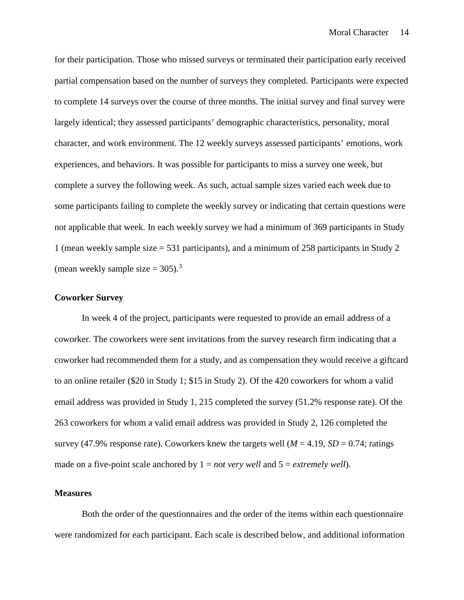for their participation. Those who missed surveys or terminated their participation early received partial compensation based on the number of surveys they completed. Participants were expected to complete 14 surveys over the course of three months. The initial survey and final survey were largely identical; they assessed participants' demographic characteristics, personality, moral character, and work environment. The 12 weekly surveys assessed participants' emotions, work experiences, and behaviors. It was possible for participants to miss a survey one week, but complete a survey the following week. As such, actual sample sizes varied each week due to some participants failing to complete the weekly survey or indicating that certain questions were not applicable that week. In each weekly survey we had a minimum of 369 participants in Study 1 (mean weekly sample size = 531 participants), and a minimum of 258 participants in Study 2 (mean weekly sample size  $= 305$ ).<sup>3</sup>

### **Coworker Survey**

In week 4 of the project, participants were requested to provide an email address of a coworker. The coworkers were sent invitations from the survey research firm indicating that a coworker had recommended them for a study, and as compensation they would receive a giftcard to an online retailer (\$20 in Study 1; \$15 in Study 2). Of the 420 coworkers for whom a valid email address was provided in Study 1, 215 completed the survey (51.2% response rate). Of the 263 coworkers for whom a valid email address was provided in Study 2, 126 completed the survey (47.9% response rate). Coworkers knew the targets well  $(M = 4.19, SD = 0.74$ ; ratings made on a five-point scale anchored by  $1 = not$  *very well* and  $5 = extremely$  *well*).

### **Measures**

Both the order of the questionnaires and the order of the items within each questionnaire were randomized for each participant. Each scale is described below, and additional information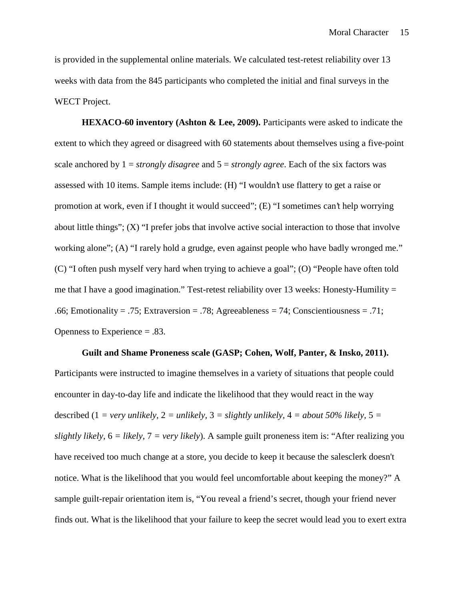is provided in the supplemental online materials. We calculated test-retest reliability over 13 weeks with data from the 845 participants who completed the initial and final surveys in the WECT Project.

**HEXACO-60 inventory (Ashton & Lee, 2009).** Participants were asked to indicate the extent to which they agreed or disagreed with 60 statements about themselves using a five-point scale anchored by 1 = *strongly disagree* and 5 = *strongly agree*. Each of the six factors was assessed with 10 items. Sample items include: (H) "I wouldn't use flattery to get a raise or promotion at work, even if I thought it would succeed"; (E) "I sometimes can't help worrying about little things"; (X) "I prefer jobs that involve active social interaction to those that involve working alone"; (A) "I rarely hold a grudge, even against people who have badly wronged me." (C) "I often push myself very hard when trying to achieve a goal"; (O) "People have often told me that I have a good imagination." Test-retest reliability over 13 weeks: Honesty-Humility  $=$ .66; Emotionality = .75; Extraversion = .78; Agreeableness = 74; Conscientiousness = .71; Openness to Experience = .83.

**Guilt and Shame Proneness scale (GASP; Cohen, Wolf, Panter, & Insko, 2011).** Participants were instructed to imagine themselves in a variety of situations that people could encounter in day-to-day life and indicate the likelihood that they would react in the way described (1 = very unlikely, 2 = unlikely, 3 = slightly unlikely,  $4 =$  about 50% likely, 5 = *slightly likely,* 6 *= likely,* 7 *= very likely*). A sample guilt proneness item is: "After realizing you have received too much change at a store, you decide to keep it because the salesclerk doesn't notice. What is the likelihood that you would feel uncomfortable about keeping the money?" A sample guilt-repair orientation item is, "You reveal a friend's secret, though your friend never finds out. What is the likelihood that your failure to keep the secret would lead you to exert extra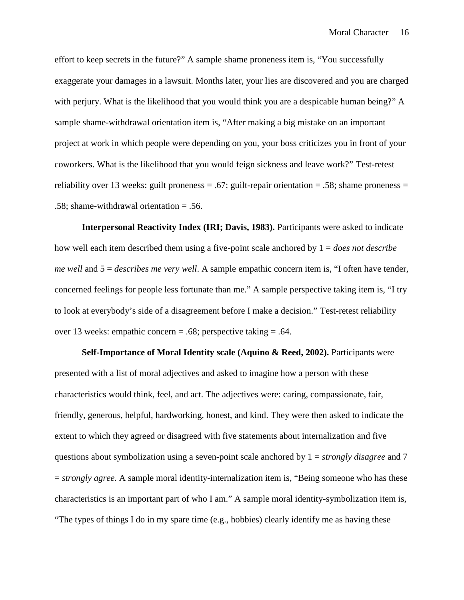effort to keep secrets in the future?" A sample shame proneness item is, "You successfully exaggerate your damages in a lawsuit. Months later, your lies are discovered and you are charged with perjury. What is the likelihood that you would think you are a despicable human being?" A sample shame-withdrawal orientation item is, "After making a big mistake on an important project at work in which people were depending on you, your boss criticizes you in front of your coworkers. What is the likelihood that you would feign sickness and leave work?" Test-retest reliability over 13 weeks: guilt proneness = .67; guilt-repair orientation = .58; shame proneness = .58; shame-withdrawal orientation = .56.

**Interpersonal Reactivity Index (IRI; Davis, 1983).** Participants were asked to indicate how well each item described them using a five-point scale anchored by 1 = *does not describe me well* and 5 = *describes me very well*. A sample empathic concern item is, "I often have tender, concerned feelings for people less fortunate than me." A sample perspective taking item is, "I try to look at everybody's side of a disagreement before I make a decision." Test-retest reliability over 13 weeks: empathic concern = .68; perspective taking = .64.

**Self-Importance of Moral Identity scale (Aquino & Reed, 2002).** Participants were presented with a list of moral adjectives and asked to imagine how a person with these characteristics would think, feel, and act. The adjectives were: caring, compassionate, fair, friendly, generous, helpful, hardworking, honest, and kind. They were then asked to indicate the extent to which they agreed or disagreed with five statements about internalization and five questions about symbolization using a seven-point scale anchored by 1 = *strongly disagree* and 7 = *strongly agree.* A sample moral identity-internalization item is, "Being someone who has these characteristics is an important part of who I am." A sample moral identity-symbolization item is, "The types of things I do in my spare time (e.g., hobbies) clearly identify me as having these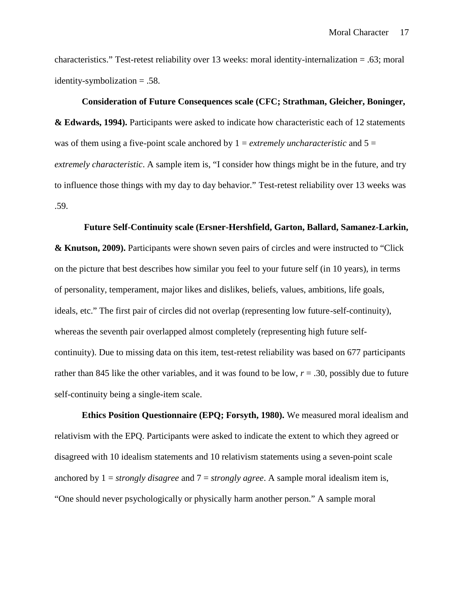characteristics." Test-retest reliability over 13 weeks: moral identity-internalization = .63; moral identity-symbolization = .58.

# **Consideration of Future Consequences scale (CFC; Strathman, Gleicher, Boninger,**

**& Edwards, 1994).** Participants were asked to indicate how characteristic each of 12 statements was of them using a five-point scale anchored by  $1 =$  *extremely uncharacteristic* and  $5 =$ *extremely characteristic*. A sample item is, "I consider how things might be in the future, and try to influence those things with my day to day behavior." Test-retest reliability over 13 weeks was .59.

## **Future Self-Continuity scale (Ersner-Hershfield, Garton, Ballard, Samanez-Larkin,**

**& Knutson, 2009).** Participants were shown seven pairs of circles and were instructed to "Click on the picture that best describes how similar you feel to your future self (in 10 years), in terms of personality, temperament, major likes and dislikes, beliefs, values, ambitions, life goals, ideals, etc." The first pair of circles did not overlap (representing low future-self-continuity), whereas the seventh pair overlapped almost completely (representing high future self continuity). Due to missing data on this item, test-retest reliability was based on 677 participants rather than 845 like the other variables, and it was found to be low,  $r = .30$ , possibly due to future self-continuity being a single-item scale.

**Ethics Position Questionnaire (EPQ; Forsyth, 1980).** We measured moral idealism and relativism with the EPQ. Participants were asked to indicate the extent to which they agreed or disagreed with 10 idealism statements and 10 relativism statements using a seven-point scale anchored by 1 = *strongly disagree* and 7 = *strongly agree*. A sample moral idealism item is, "One should never psychologically or physically harm another person." A sample moral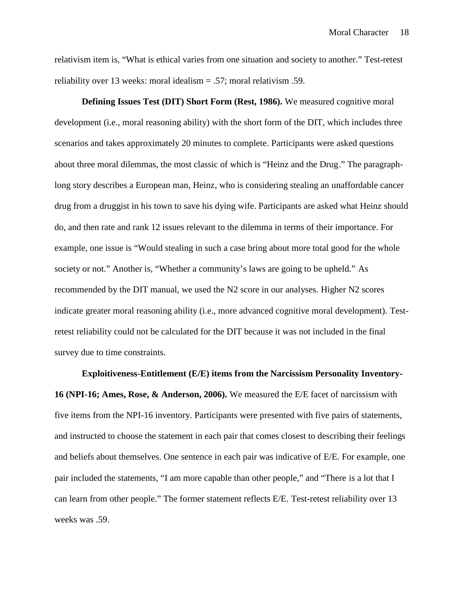relativism item is, "What is ethical varies from one situation and society to another." Test-retest reliability over 13 weeks: moral idealism = .57; moral relativism .59.

**Defining Issues Test (DIT) Short Form (Rest, 1986).** We measured cognitive moral development (i.e., moral reasoning ability) with the short form of the DIT, which includes three scenarios and takes approximately 20 minutes to complete. Participants were asked questions about three moral dilemmas, the most classic of which is "Heinz and the Drug." The paragraphlong story describes a European man, Heinz, who is considering stealing an unaffordable cancer drug from a druggist in his town to save his dying wife. Participants are asked what Heinz should do, and then rate and rank 12 issues relevant to the dilemma in terms of their importance. For example, one issue is "Would stealing in such a case bring about more total good for the whole society or not." Another is, "Whether a community's laws are going to be upheld." As recommended by the DIT manual, we used the N2 score in our analyses. Higher N2 scores indicate greater moral reasoning ability (i.e., more advanced cognitive moral development). Testretest reliability could not be calculated for the DIT because it was not included in the final survey due to time constraints.

**Exploitiveness-Entitlement (E/E) items from the Narcissism Personality Inventory- 16 (NPI-16; Ames, Rose, & Anderson, 2006).** We measured the E/E facet of narcissism with five items from the NPI-16 inventory. Participants were presented with five pairs of statements, and instructed to choose the statement in each pair that comes closest to describing their feelings and beliefs about themselves. One sentence in each pair was indicative of E/E. For example, one pair included the statements, "I am more capable than other people," and "There is a lot that I can learn from other people." The former statement reflects E/E. Test-retest reliability over 13 weeks was .59.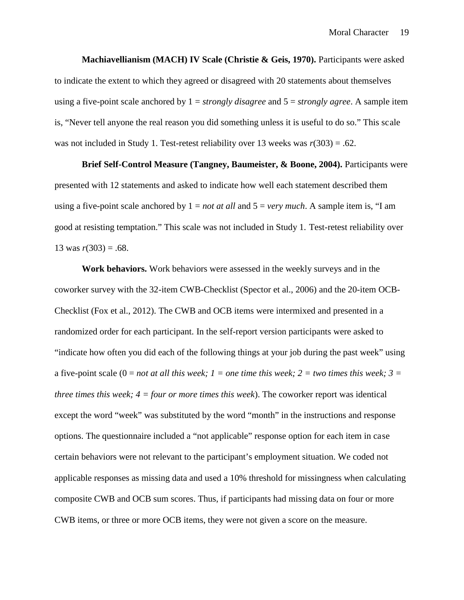**Machiavellianism (MACH) IV Scale (Christie & Geis, 1970).** Participants were asked to indicate the extent to which they agreed or disagreed with 20 statements about themselves using a five-point scale anchored by 1 = *strongly disagree* and 5 = *strongly agree*. A sample item is, "Never tell anyone the real reason you did something unless it is useful to do so." This scale was not included in Study 1. Test-retest reliability over 13 weeks was  $r(303) = .62$ .

**Brief Self-Control Measure (Tangney, Baumeister, & Boone, 2004).** Participants were presented with 12 statements and asked to indicate how well each statement described them using a five-point scale anchored by 1 = *not at all* and 5 = *very much*. A sample item is, "I am good at resisting temptation." This scale was not included in Study 1. Test-retest reliability over 13 was  $r(303) = .68$ .

**Work behaviors.** Work behaviors were assessed in the weekly surveys and in the coworker survey with the 32-item CWB-Checklist (Spector et al., 2006) and the 20-item OCB- Checklist (Fox et al., 2012). The CWB and OCB items were intermixed and presented in a randomized order for each participant. In the self-report version participants were asked to "indicate how often you did each of the following things at your job during the past week" using a five-point scale  $(0 = not at all this week; 1 = one time this week; 2 = two times this week; 3 =$ *three times this week; 4 = four or more times this week*). The coworker report was identical except the word "week" was substituted by the word "month" in the instructions and response options. The questionnaire included a "not applicable" response option for each item in case certain behaviors were not relevant to the participant's employment situation. We coded not applicable responses as missing data and used a 10% threshold for missingness when calculating composite CWB and OCB sum scores. Thus, if participants had missing data on four or more CWB items, or three or more OCB items, they were not given a score on the measure.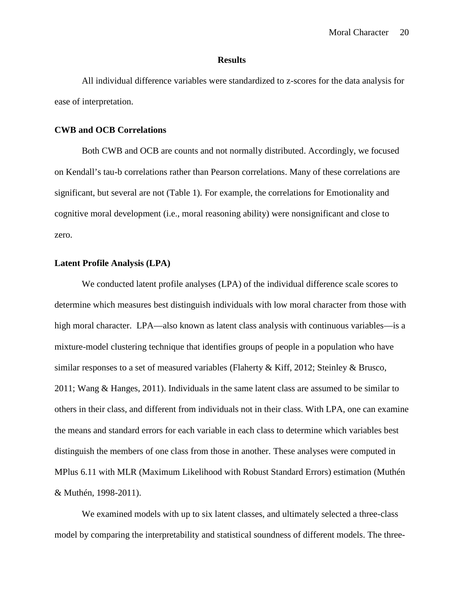#### **Results**

All individual difference variables were standardized to z-scores for the data analysis for ease of interpretation.

## **CWB and OCB Correlations**

Both CWB and OCB are counts and not normally distributed. Accordingly, we focused on Kendall's tau-b correlations rather than Pearson correlations. Many of these correlations are significant, but several are not (Table 1). For example, the correlations for Emotionality and cognitive moral development (i.e., moral reasoning ability) were nonsignificant and close to zero.

# **Latent Profile Analysis (LPA)**

We conducted latent profile analyses (LPA) of the individual difference scale scores to determine which measures best distinguish individuals with low moral character from those with high moral character. LPA—also known as latent class analysis with continuous variables—is a mixture-model clustering technique that identifies groups of people in a population who have similar responses to a set of measured variables (Flaherty & Kiff, 2012; Steinley & Brusco, 2011; Wang & Hanges, 2011). Individuals in the same latent class are assumed to be similar to others in their class, and different from individuals not in their class. With LPA, one can examine the means and standard errors for each variable in each class to determine which variables best distinguish the members of one class from those in another. These analyses were computed in MPlus 6.11 with MLR (Maximum Likelihood with Robust Standard Errors) estimation (Muthén & Muthén, 1998-2011).

We examined models with up to six latent classes, and ultimately selected a three-class model by comparing the interpretability and statistical soundness of different models. The three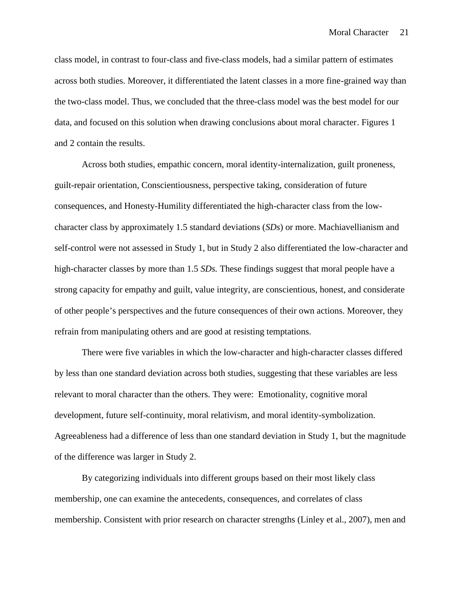class model, in contrast to four-class and five-class models, had a similar pattern of estimates across both studies. Moreover, it differentiated the latent classes in a more fine-grained way than the two-class model. Thus, we concluded that the three-class model was the best model for our data, and focused on this solution when drawing conclusions about moral character. Figures 1 and 2 contain the results.

Across both studies, empathic concern, moral identity-internalization, guilt proneness, guilt-repair orientation, Conscientiousness, perspective taking, consideration of future consequences, and Honesty-Humility differentiated the high-character class from the low character class by approximately 1.5 standard deviations (*SDs*) or more. Machiavellianism and self-control were not assessed in Study 1, but in Study 2 also differentiated the low-character and high-character classes by more than 1.5 *SDs*. These findings suggest that moral people have a strong capacity for empathy and guilt, value integrity, are conscientious, honest, and considerate of other people's perspectives and the future consequences of their own actions. Moreover, they refrain from manipulating others and are good at resisting temptations.

There were five variables in which the low-character and high-character classes differed by less than one standard deviation across both studies, suggesting that these variables are less relevant to moral character than the others. They were: Emotionality, cognitive moral development, future self-continuity, moral relativism, and moral identity-symbolization. Agreeableness had a difference of less than one standard deviation in Study 1, but the magnitude of the difference was larger in Study 2.

By categorizing individuals into different groups based on their most likely class membership, one can examine the antecedents, consequences, and correlates of class membership. Consistent with prior research on character strengths (Linley et al., 2007), men and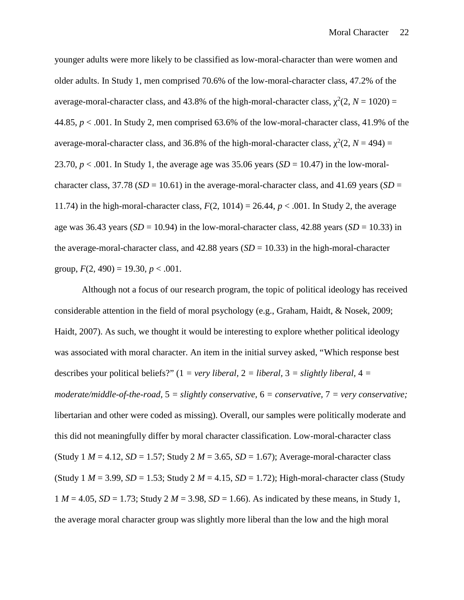younger adults were more likely to be classified as low-moral-character than were women and older adults. In Study 1, men comprised 70.6% of the low-moral-character class, 47.2% of the average-moral-character class, and 43.8% of the high-moral-character class,  $^{2}(2, N = 1020) =$ 44.85, *p* < .001. In Study 2, men comprised 63.6% of the low-moral-character class, 41.9% of the average-moral-character class, and 36.8% of the high-moral-character class,  $^{2}(2, N = 494) =$ 23.70,  $p < .001$ . In Study 1, the average age was 35.06 years (*SD* = 10.47) in the low-moralcharacter class,  $37.78$  ( $SD = 10.61$ ) in the average-moral-character class, and 41.69 years ( $SD =$ 11.74) in the high-moral-character class,  $F(2, 1014) = 26.44$ ,  $p < .001$ . In Study 2, the average age was 36.43 years ( $SD = 10.94$ ) in the low-moral-character class, 42.88 years ( $SD = 10.33$ ) in the average-moral-character class, and  $42.88$  years  $(SD = 10.33)$  in the high-moral-character group,  $F(2, 490) = 19.30, p < .001$ .

Although not a focus of our research program, the topic of political ideology has received considerable attention in the field of moral psychology (e.g., Graham, Haidt, & Nosek, 2009; Haidt, 2007). As such, we thought it would be interesting to explore whether political ideology was associated with moral character. An item in the initial survey asked, "Which response best describes your political beliefs?"  $(1 = very liberal, 2 = liberal, 3 = slightly liberal, 4 =$ *moderate/middle-of-the-road,* 5 *= slightly conservative,* 6 *= conservative,* 7 *= very conservative;* libertarian and other were coded as missing). Overall, our samples were politically moderate and this did not meaningfully differ by moral character classification. Low-moral-character class (Study  $1 M = 4.12$ ,  $SD = 1.57$ ; Study  $2 M = 3.65$ ,  $SD = 1.67$ ); Average-moral-character class (Study  $1 M = 3.99$ ,  $SD = 1.53$ ; Study  $2 M = 4.15$ ,  $SD = 1.72$ ); High-moral-character class (Study  $1 M = 4.05$ ,  $SD = 1.73$ ; Study  $2 M = 3.98$ ,  $SD = 1.66$ ). As indicated by these means, in Study 1, the average moral character group was slightly more liberal than the low and the high moral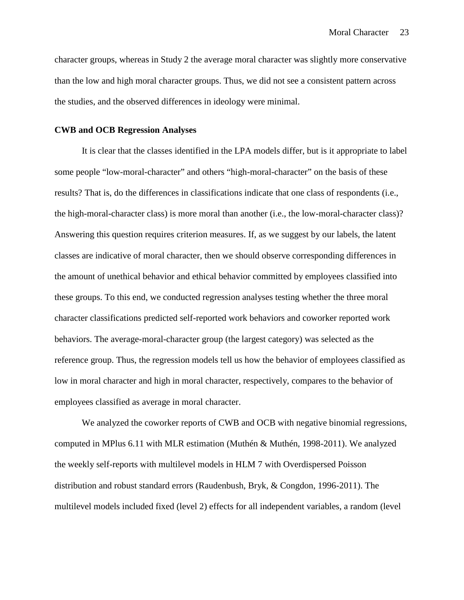character groups, whereas in Study 2 the average moral character was slightly more conservative than the low and high moral character groups. Thus, we did not see a consistent pattern across the studies, and the observed differences in ideology were minimal.

## **CWB and OCB Regression Analyses**

It is clear that the classes identified in the LPA models differ, but is it appropriate to label some people "low-moral-character" and others "high-moral-character" on the basis of these results? That is, do the differences in classifications indicate that one class of respondents (i.e., the high-moral-character class) is more moral than another (i.e., the low-moral-character class)? Answering this question requires criterion measures. If, as we suggest by our labels, the latent classes are indicative of moral character, then we should observe corresponding differences in the amount of unethical behavior and ethical behavior committed by employees classified into these groups. To this end, we conducted regression analyses testing whether the three moral character classifications predicted self-reported work behaviors and coworker reported work behaviors. The average-moral-character group (the largest category) was selected as the reference group. Thus, the regression models tell us how the behavior of employees classified as low in moral character and high in moral character, respectively, compares to the behavior of employees classified as average in moral character.

We analyzed the coworker reports of CWB and OCB with negative binomial regressions, computed in MPlus 6.11 with MLR estimation (Muthén & Muthén, 1998-2011). We analyzed the weekly self-reports with multilevel models in HLM 7 with Overdispersed Poisson distribution and robust standard errors (Raudenbush, Bryk, & Congdon, 1996-2011). The multilevel models included fixed (level 2) effects for all independent variables, a random (level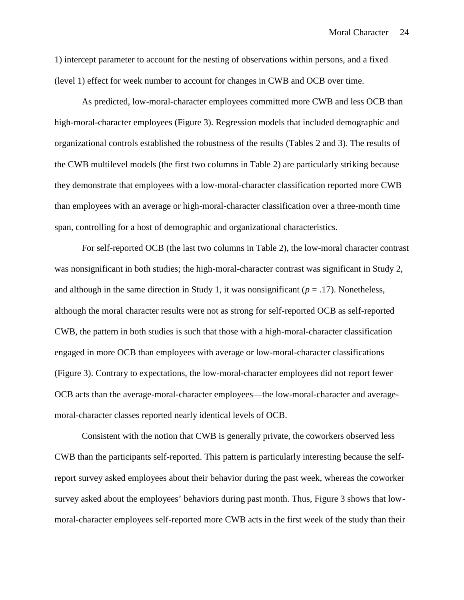1) intercept parameter to account for the nesting of observations within persons, and a fixed (level 1) effect for week number to account for changes in CWB and OCB over time.

As predicted, low-moral-character employees committed more CWB and less OCB than high-moral-character employees (Figure 3). Regression models that included demographic and organizational controls established the robustness of the results (Tables 2 and 3). The results of the CWB multilevel models (the first two columns in Table 2) are particularly striking because they demonstrate that employees with a low-moral-character classification reported more CWB than employees with an average or high-moral-character classification over a three-month time span, controlling for a host of demographic and organizational characteristics.

For self-reported OCB (the last two columns in Table 2), the low-moral character contrast was nonsignificant in both studies; the high-moral-character contrast was significant in Study 2, and although in the same direction in Study 1, it was nonsignificant ( $p = .17$ ). Nonetheless, although the moral character results were not as strong for self-reported OCB as self-reported CWB, the pattern in both studies is such that those with a high-moral-character classification engaged in more OCB than employees with average or low-moral-character classifications (Figure 3). Contrary to expectations, the low-moral-character employees did not report fewer OCB acts than the average-moral-character employees—the low-moral-character and average moral-character classes reported nearly identical levels of OCB.

Consistent with the notion that CWB is generally private, the coworkers observed less CWB than the participants self-reported. This pattern is particularly interesting because the selfreport survey asked employees about their behavior during the past week, whereas the coworker survey asked about the employees' behaviors during past month. Thus, Figure 3 shows that low moral-character employees self-reported more CWB acts in the first week of the study than their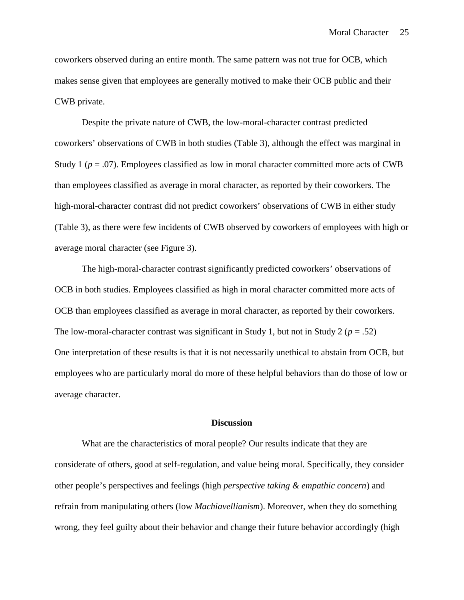coworkers observed during an entire month. The same pattern was not true for OCB, which makes sense given that employees are generally motived to make their OCB public and their CWB private.

Despite the private nature of CWB, the low-moral-character contrast predicted coworkers' observations of CWB in both studies (Table 3), although the effect was marginal in Study 1 ( $p = .07$ ). Employees classified as low in moral character committed more acts of CWB than employees classified as average in moral character, as reported by their coworkers. The high-moral-character contrast did not predict coworkers' observations of CWB in either study (Table 3), as there were few incidents of CWB observed by coworkers of employees with high or average moral character (see Figure 3).

The high-moral-character contrast significantly predicted coworkers' observations of OCB in both studies. Employees classified as high in moral character committed more acts of OCB than employees classified as average in moral character, as reported by their coworkers. The low-moral-character contrast was significant in Study 1, but not in Study 2 ( $p = .52$ ) One interpretation of these results is that it is not necessarily unethical to abstain from OCB, but employees who are particularly moral do more of these helpful behaviors than do those of low or average character.

#### **Discussion**

What are the characteristics of moral people? Our results indicate that they are considerate of others, good at self-regulation, and value being moral. Specifically, they consider other people's perspectives and feelings (high *perspective taking & empathic concern*) and refrain from manipulating others (low *Machiavellianism*). Moreover, when they do something wrong, they feel guilty about their behavior and change their future behavior accordingly (high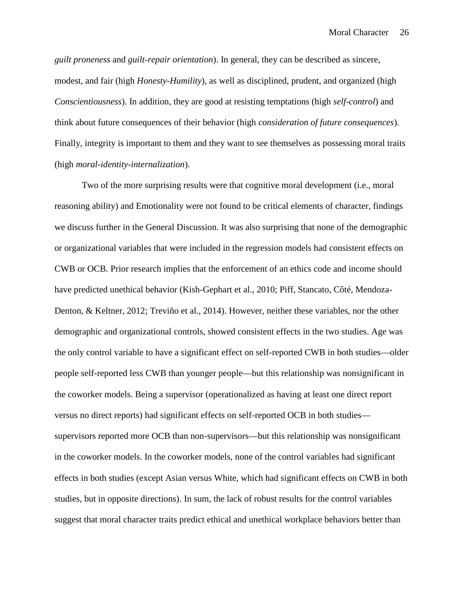*guilt proneness* and *guilt-repair orientation*). In general, they can be described as sincere, modest, and fair (high *Honesty-Humility*), as well as disciplined, prudent, and organized (high *Conscientiousness*). In addition, they are good at resisting temptations (high *self-control*) and think about future consequences of their behavior (high *consideration of future consequences*). Finally, integrity is important to them and they want to see themselves as possessing moral traits (high *moral-identity-internalization*).

Two of the more surprising results were that cognitive moral development (i.e., moral reasoning ability) and Emotionality were not found to be critical elements of character, findings we discuss further in the General Discussion. It was also surprising that none of the demographic or organizational variables that were included in the regression models had consistent effects on CWB or OCB. Prior research implies that the enforcement of an ethics code and income should have predicted unethical behavior (Kish-Gephart et al., 2010; Piff, Stancato, Côté, Mendoza- Denton, & Keltner, 2012; Treviño et al., 2014). However, neither these variables, nor the other demographic and organizational controls, showed consistent effects in the two studies. Age was the only control variable to have a significant effect on self-reported CWB in both studies—older people self-reported less CWB than younger people—but this relationship was nonsignificant in the coworker models. Being a supervisor (operationalized as having at least one direct report versus no direct reports) had significant effects on self-reported OCB in both studies supervisors reported more OCB than non-supervisors—but this relationship was nonsignificant in the coworker models. In the coworker models, none of the control variables had significant effects in both studies (except Asian versus White, which had significant effects on CWB in both studies, but in opposite directions). In sum, the lack of robust results for the control variables suggest that moral character traits predict ethical and unethical workplace behaviors better than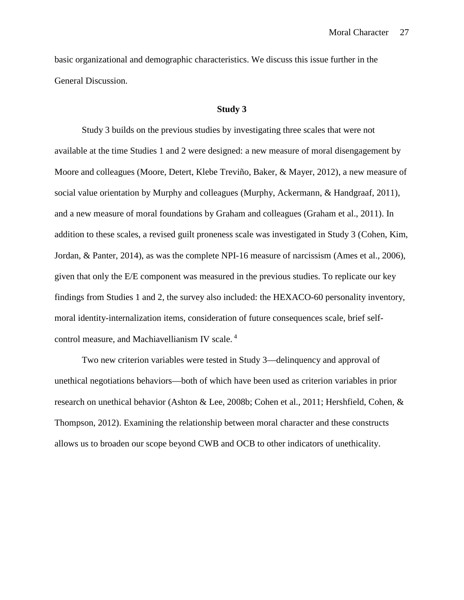basic organizational and demographic characteristics. We discuss this issue further in the General Discussion.

#### **Study 3**

Study 3 builds on the previous studies by investigating three scales that were not available at the time Studies 1 and 2 were designed: a new measure of moral disengagement by Moore and colleagues (Moore, Detert, Klebe Treviño, Baker, & Mayer, 2012), a new measure of social value orientation by Murphy and colleagues (Murphy, Ackermann, & Handgraaf, 2011), and a new measure of moral foundations by Graham and colleagues (Graham et al., 2011). In addition to these scales, a revised guilt proneness scale was investigated in Study 3 (Cohen, Kim, Jordan, & Panter, 2014), as was the complete NPI-16 measure of narcissism (Ames et al., 2006), given that only the E/E component was measured in the previous studies. To replicate our key findings from Studies 1 and 2, the survey also included: the HEXACO-60 personality inventory, moral identity-internalization items, consideration of future consequences scale, brief self control measure, and Machiavellianism IV scale. <sup>4</sup>

Two new criterion variables were tested in Study 3—delinquency and approval of unethical negotiations behaviors—both of which have been used as criterion variables in prior research on unethical behavior (Ashton & Lee, 2008b; Cohen et al., 2011; Hershfield, Cohen, & Thompson, 2012). Examining the relationship between moral character and these constructs allows us to broaden our scope beyond CWB and OCB to other indicators of unethicality.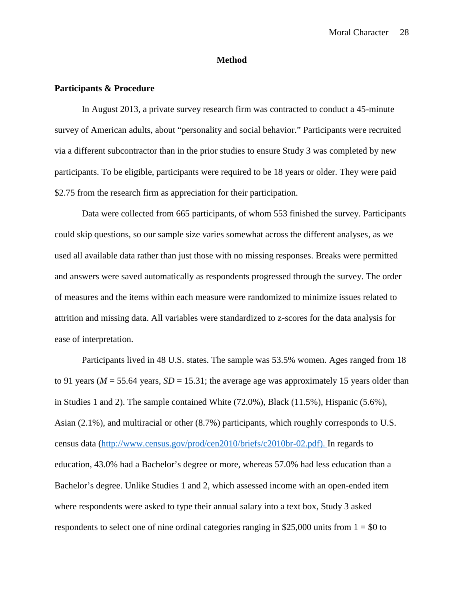### **Method**

## **Participants & Procedure**

In August 2013, a private survey research firm was contracted to conduct a 45-minute survey of American adults, about "personality and social behavior." Participants were recruited via a different subcontractor than in the prior studies to ensure Study 3 was completed by new participants. To be eligible, participants were required to be 18 years or older. They were paid \$2.75 from the research firm as appreciation for their participation.

Data were collected from 665 participants, of whom 553 finished the survey. Participants could skip questions, so our sample size varies somewhat across the different analyses, as we used all available data rather than just those with no missing responses. Breaks were permitted and answers were saved automatically as respondents progressed through the survey. The order of measures and the items within each measure were randomized to minimize issues related to attrition and missing data. All variables were standardized to z-scores for the data analysis for ease of interpretation.

Participants lived in 48 U.S. states. The sample was 53.5% women. Ages ranged from 18 to 91 years ( $M = 55.64$  years,  $SD = 15.31$ ; the average age was approximately 15 years older than in Studies 1 and 2). The sample contained White (72.0%), Black (11.5%), Hispanic (5.6%), Asian (2.1%), and multiracial or other (8.7%) participants, which roughly corresponds to U.S. census data (http://www.census.gov/prod/cen2010/briefs/c2010br-02.pdf). In regards to education, 43.0% had a Bachelor's degree or more, whereas 57.0% had less education than a Bachelor's degree. Unlike Studies 1 and 2, which assessed income with an open-ended item where respondents were asked to type their annual salary into a text box, Study 3 asked respondents to select one of nine ordinal categories ranging in \$25,000 units from  $1 = $0$  to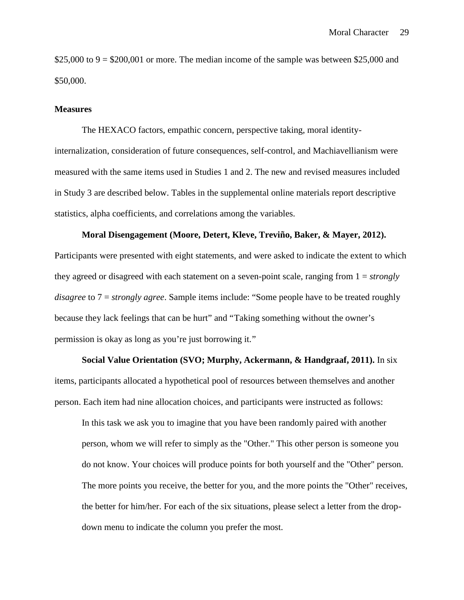\$25,000 to  $9 = $200,001$  or more. The median income of the sample was between \$25,000 and \$50,000.

#### **Measures**

The HEXACO factors, empathic concern, perspective taking, moral identityinternalization, consideration of future consequences, self-control, and Machiavellianism were measured with the same items used in Studies 1 and 2. The new and revised measures included in Study 3 are described below. Tables in the supplemental online materials report descriptive statistics, alpha coefficients, and correlations among the variables.

### **Moral Disengagement (Moore, Detert, Kleve, Treviño, Baker, & Mayer, 2012).**

Participants were presented with eight statements, and were asked to indicate the extent to which they agreed or disagreed with each statement on a seven-point scale, ranging from 1 = *strongly disagree* to 7 = *strongly agree*. Sample items include: "Some people have to be treated roughly because they lack feelings that can be hurt" and "Taking something without the owner's permission is okay as long as you're just borrowing it."

**Social Value Orientation (SVO; Murphy, Ackermann, & Handgraaf, 2011).** In six items, participants allocated a hypothetical pool of resources between themselves and another person. Each item had nine allocation choices, and participants were instructed as follows:

In this task we ask you to imagine that you have been randomly paired with another person, whom we will refer to simply as the "Other." This other person is someone you do not know. Your choices will produce points for both yourself and the "Other" person. The more points you receive, the better for you, and the more points the "Other" receives, the better for him/her. For each of the six situations, please select a letter from the drop down menu to indicate the column you prefer the most.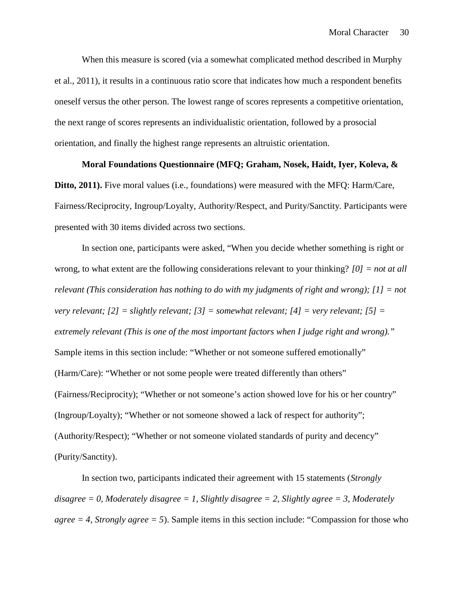When this measure is scored (via a somewhat complicated method described in Murphy et al., 2011), it results in a continuous ratio score that indicates how much a respondent benefits oneself versus the other person. The lowest range of scores represents a competitive orientation, the next range of scores represents an individualistic orientation, followed by a prosocial orientation, and finally the highest range represents an altruistic orientation.

## **Moral Foundations Questionnaire (MFQ; Graham, Nosek, Haidt, Iyer, Koleva, &**

**Ditto, 2011).** Five moral values (i.e., foundations) were measured with the MFQ: Harm/Care, Fairness/Reciprocity, Ingroup/Loyalty, Authority/Respect, and Purity/Sanctity. Participants were presented with 30 items divided across two sections.

In section one, participants were asked, "When you decide whether something is right or wrong, to what extent are the following considerations relevant to your thinking? *[0] = not at all relevant (This consideration has nothing to do with my judgments of right and wrong); [1] = not very relevant; [2] = slightly relevant; [3] = somewhat relevant; [4] = very relevant; [5] = extremely relevant (This is one of the most important factors when I judge right and wrong)."* Sample items in this section include: "Whether or not someone suffered emotionally" (Harm/Care): "Whether or not some people were treated differently than others" (Fairness/Reciprocity); "Whether or not someone's action showed love for his or her country" (Ingroup/Loyalty); "Whether or not someone showed a lack of respect for authority"; (Authority/Respect); "Whether or not someone violated standards of purity and decency" (Purity/Sanctity).

In section two, participants indicated their agreement with 15 statements (*Strongly disagree = 0, Moderately disagree = 1, Slightly disagree = 2, Slightly agree = 3, Moderately*  $agree = 4$ , *Strongly agree*  $= 5$ ). Sample items in this section include: "Compassion for those who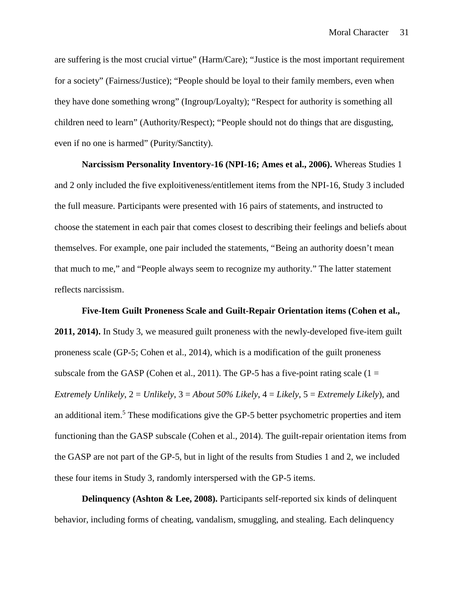are suffering is the most crucial virtue" (Harm/Care); "Justice is the most important requirement for a society" (Fairness/Justice); "People should be loyal to their family members, even when they have done something wrong" (Ingroup/Loyalty); "Respect for authority is something all children need to learn" (Authority/Respect); "People should not do things that are disgusting, even if no one is harmed" (Purity/Sanctity).

**Narcissism Personality Inventory-16 (NPI-16; Ames et al., 2006).** Whereas Studies 1 and 2 only included the five exploitiveness/entitlement items from the NPI-16, Study 3 included the full measure. Participants were presented with 16 pairs of statements, and instructed to choose the statement in each pair that comes closest to describing their feelings and beliefs about themselves. For example, one pair included the statements, "Being an authority doesn't mean that much to me," and "People always seem to recognize my authority." The latter statement reflects narcissism.

**Five-Item Guilt Proneness Scale and Guilt-Repair Orientation items (Cohen et al., 2011, 2014).** In Study 3, we measured guilt proneness with the newly-developed five-item guilt proneness scale (GP-5; Cohen et al., 2014), which is a modification of the guilt proneness subscale from the GASP (Cohen et al., 2011). The GP-5 has a five-point rating scale ( $1 =$ *Extremely Unlikely*, 2 = *Unlikely*, 3 = *About 50% Likely*, 4 = *Likely*, 5 = *Extremely Likely*), and an additional item.<sup>5</sup> These modifications give the GP-5 better psychometric properties and item functioning than the GASP subscale (Cohen et al., 2014). The guilt-repair orientation items from the GASP are not part of the GP-5, but in light of the results from Studies 1 and 2, we included these four items in Study 3, randomly interspersed with the GP-5 items.

**Delinquency (Ashton & Lee, 2008).** Participants self-reported six kinds of delinquent behavior, including forms of cheating, vandalism, smuggling, and stealing. Each delinquency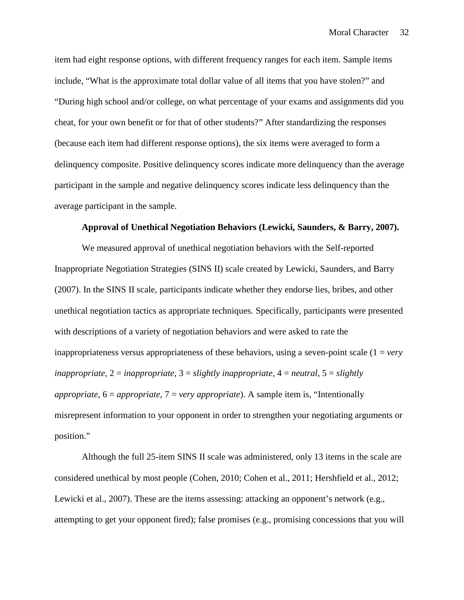item had eight response options, with different frequency ranges for each item. Sample items include, "What is the approximate total dollar value of all items that you have stolen?" and "During high school and/or college, on what percentage of your exams and assignments did you cheat, for your own benefit or for that of other students?" After standardizing the responses (because each item had different response options), the six items were averaged to form a delinquency composite. Positive delinquency scores indicate more delinquency than the average participant in the sample and negative delinquency scores indicate less delinquency than the average participant in the sample.

### **Approval of Unethical Negotiation Behaviors (Lewicki, Saunders, & Barry, 2007).**

We measured approval of unethical negotiation behaviors with the Self-reported Inappropriate Negotiation Strategies (SINS II) scale created by Lewicki, Saunders, and Barry (2007). In the SINS II scale, participants indicate whether they endorse lies, bribes, and other unethical negotiation tactics as appropriate techniques. Specifically, participants were presented with descriptions of a variety of negotiation behaviors and were asked to rate the inappropriateness versus appropriateness of these behaviors, using a seven-point scale (1 = *very inappropriate*, 2 = *inappropriate*, 3 = *slightly inappropriate*, 4 = *neutral*, 5 = *slightly appropriate*, 6 = *appropriate*, 7 = *very appropriate*). A sample item is, "Intentionally misrepresent information to your opponent in order to strengthen your negotiating arguments or position."

Although the full 25-item SINS II scale was administered, only 13 items in the scale are considered unethical by most people (Cohen, 2010; Cohen et al., 2011; Hershfield et al., 2012; Lewicki et al., 2007). These are the items assessing: attacking an opponent's network (e.g., attempting to get your opponent fired); false promises (e.g., promising concessions that you will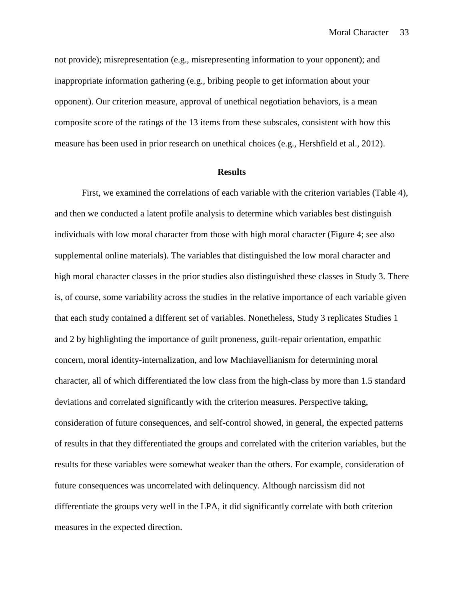not provide); misrepresentation (e.g., misrepresenting information to your opponent); and inappropriate information gathering (e.g., bribing people to get information about your opponent). Our criterion measure, approval of unethical negotiation behaviors, is a mean composite score of the ratings of the 13 items from these subscales, consistent with how this measure has been used in prior research on unethical choices (e.g., Hershfield et al., 2012).

### **Results**

First, we examined the correlations of each variable with the criterion variables (Table 4), and then we conducted a latent profile analysis to determine which variables best distinguish individuals with low moral character from those with high moral character (Figure 4; see also supplemental online materials). The variables that distinguished the low moral character and high moral character classes in the prior studies also distinguished these classes in Study 3. There is, of course, some variability across the studies in the relative importance of each variable given that each study contained a different set of variables. Nonetheless, Study 3 replicates Studies 1 and 2 by highlighting the importance of guilt proneness, guilt-repair orientation, empathic concern, moral identity-internalization, and low Machiavellianism for determining moral character, all of which differentiated the low class from the high-class by more than 1.5 standard deviations and correlated significantly with the criterion measures. Perspective taking, consideration of future consequences, and self-control showed, in general, the expected patterns of results in that they differentiated the groups and correlated with the criterion variables, but the results for these variables were somewhat weaker than the others. For example, consideration of future consequences was uncorrelated with delinquency. Although narcissism did not differentiate the groups very well in the LPA, it did significantly correlate with both criterion measures in the expected direction.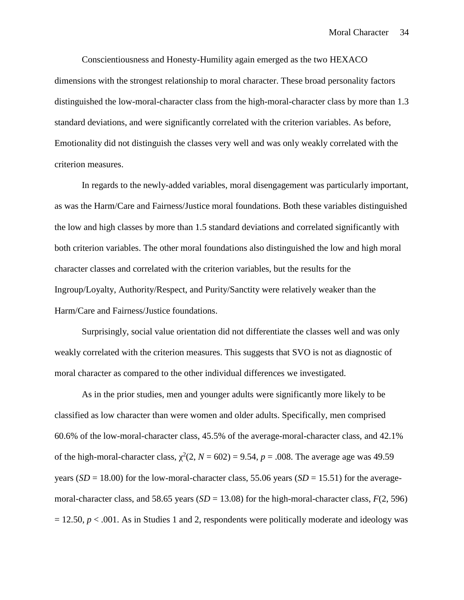Conscientiousness and Honesty-Humility again emerged as the two HEXACO dimensions with the strongest relationship to moral character. These broad personality factors distinguished the low-moral-character class from the high-moral-character class by more than 1.3 standard deviations, and were significantly correlated with the criterion variables. As before, Emotionality did not distinguish the classes very well and was only weakly correlated with the criterion measures.

In regards to the newly-added variables, moral disengagement was particularly important, as was the Harm/Care and Fairness/Justice moral foundations. Both these variables distinguished the low and high classes by more than 1.5 standard deviations and correlated significantly with both criterion variables. The other moral foundations also distinguished the low and high moral character classes and correlated with the criterion variables, but the results for the Ingroup/Loyalty, Authority/Respect, and Purity/Sanctity were relatively weaker than the Harm/Care and Fairness/Justice foundations.

Surprisingly, social value orientation did not differentiate the classes well and was only weakly correlated with the criterion measures. This suggests that SVO is not as diagnostic of moral character as compared to the other individual differences we investigated.

As in the prior studies, men and younger adults were significantly more likely to be classified as low character than were women and older adults. Specifically, men comprised 60.6% of the low-moral-character class, 45.5% of the average-moral-character class, and 42.1% of the high-moral-character class,  $^2(2, N = 602) = 9.54$ ,  $p = .008$ . The average age was 49.59 years ( $SD = 18.00$ ) for the low-moral-character class, 55.06 years ( $SD = 15.51$ ) for the averagemoral-character class, and 58.65 years (*SD* = 13.08) for the high-moral-character class, *F*(2, 596)  $= 12.50, p < .001$ . As in Studies 1 and 2, respondents were politically moderate and ideology was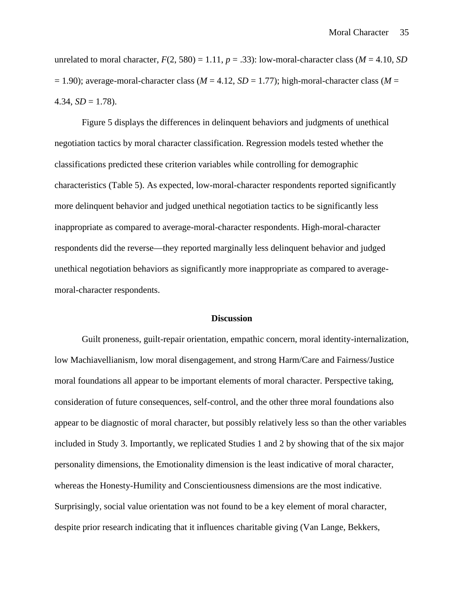unrelated to moral character,  $F(2, 580) = 1.11$ ,  $p = .33$ ): low-moral-character class ( $M = 4.10$ , SD  $= 1.90$ ); average-moral-character class ( $M = 4.12$ ,  $SD = 1.77$ ); high-moral-character class ( $M = 1.90$ ) 4.34,  $SD = 1.78$ ).

Figure 5 displays the differences in delinquent behaviors and judgments of unethical negotiation tactics by moral character classification. Regression models tested whether the classifications predicted these criterion variables while controlling for demographic characteristics (Table 5). As expected, low-moral-character respondents reported significantly more delinquent behavior and judged unethical negotiation tactics to be significantly less inappropriate as compared to average-moral-character respondents. High-moral-character respondents did the reverse—they reported marginally less delinquent behavior and judged unethical negotiation behaviors as significantly more inappropriate as compared to average moral-character respondents.

#### **Discussion**

Guilt proneness, guilt-repair orientation, empathic concern, moral identity-internalization, low Machiavellianism, low moral disengagement, and strong Harm/Care and Fairness/Justice moral foundations all appear to be important elements of moral character. Perspective taking, consideration of future consequences, self-control, and the other three moral foundations also appear to be diagnostic of moral character, but possibly relatively less so than the other variables included in Study 3. Importantly, we replicated Studies 1 and 2 by showing that of the six major personality dimensions, the Emotionality dimension is the least indicative of moral character, whereas the Honesty-Humility and Conscientiousness dimensions are the most indicative. Surprisingly, social value orientation was not found to be a key element of moral character, despite prior research indicating that it influences charitable giving (Van Lange, Bekkers,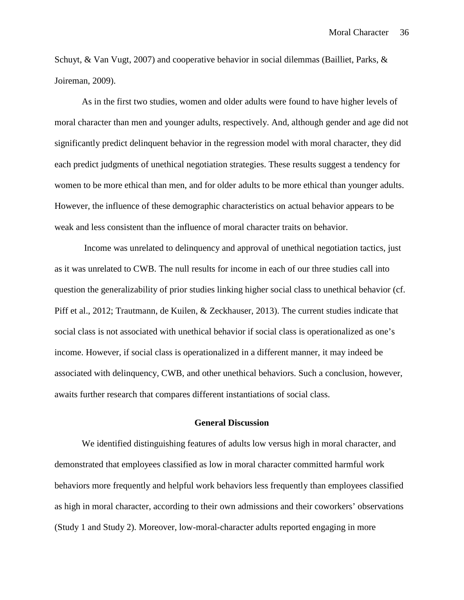Schuyt, & Van Vugt, 2007) and cooperative behavior in social dilemmas (Bailliet, Parks, & Joireman, 2009).

As in the first two studies, women and older adults were found to have higher levels of moral character than men and younger adults, respectively. And, although gender and age did not significantly predict delinquent behavior in the regression model with moral character, they did each predict judgments of unethical negotiation strategies. These results suggest a tendency for women to be more ethical than men, and for older adults to be more ethical than younger adults. However, the influence of these demographic characteristics on actual behavior appears to be weak and less consistent than the influence of moral character traits on behavior.

Income was unrelated to delinquency and approval of unethical negotiation tactics, just as it was unrelated to CWB. The null results for income in each of our three studies call into question the generalizability of prior studies linking higher social class to unethical behavior (cf. Piff et al., 2012; Trautmann, de Kuilen, & Zeckhauser, 2013). The current studies indicate that social class is not associated with unethical behavior if social class is operationalized as one's income. However, if social class is operationalized in a different manner, it may indeed be associated with delinquency, CWB, and other unethical behaviors. Such a conclusion, however, awaits further research that compares different instantiations of social class.

#### **General Discussion**

We identified distinguishing features of adults low versus high in moral character, and demonstrated that employees classified as low in moral character committed harmful work behaviors more frequently and helpful work behaviors less frequently than employees classified as high in moral character, according to their own admissions and their coworkers' observations (Study 1 and Study 2). Moreover, low-moral-character adults reported engaging in more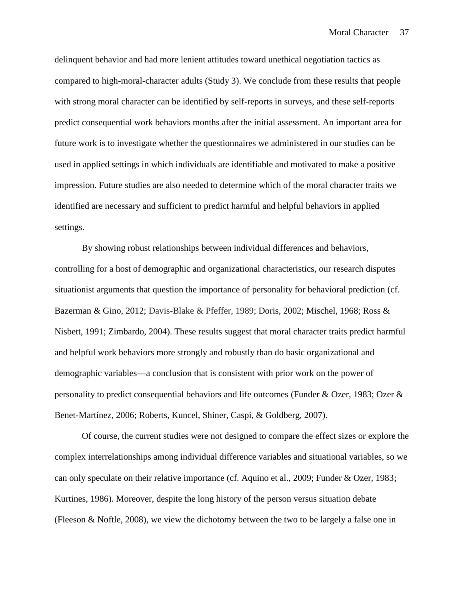delinquent behavior and had more lenient attitudes toward unethical negotiation tactics as compared to high-moral-character adults (Study 3). We conclude from these results that people with strong moral character can be identified by self-reports in surveys, and these self-reports predict consequential work behaviors months after the initial assessment. An important area for future work is to investigate whether the questionnaires we administered in our studies can be used in applied settings in which individuals are identifiable and motivated to make a positive impression. Future studies are also needed to determine which of the moral character traits we identified are necessary and sufficient to predict harmful and helpful behaviors in applied settings.<br>By showing robust relationships between individual differences and behaviors,

controlling for a host of demographic and organizational characteristics, our research disputes situationist arguments that question the importance of personality for behavioral prediction (cf. Bazerman & Gino, 2012; Davis-Blake & Pfeffer, 1989; Doris, 2002; Mischel, 1968; Ross & Nisbett, 1991; Zimbardo, 2004). These results suggest that moral character traits predict harmful and helpful work behaviors more strongly and robustly than do basic organizational and demographic variables—a conclusion that is consistent with prior work on the power of personality to predict consequential behaviors and life outcomes (Funder & Ozer, 1983; Ozer & Benet-Martínez, 2006; Roberts, Kuncel, Shiner, Caspi, & Goldberg, 2007).

Of course, the current studies were not designed to compare the effect sizes or explore the complex interrelationships among individual difference variables and situational variables, so we can only speculate on their relative importance (cf. Aquino et al., 2009; Funder & Ozer, 1983; Kurtines, 1986). Moreover, despite the long history of the person versus situation debate (Fleeson & Noftle, 2008), we view the dichotomy between the two to be largely a false one in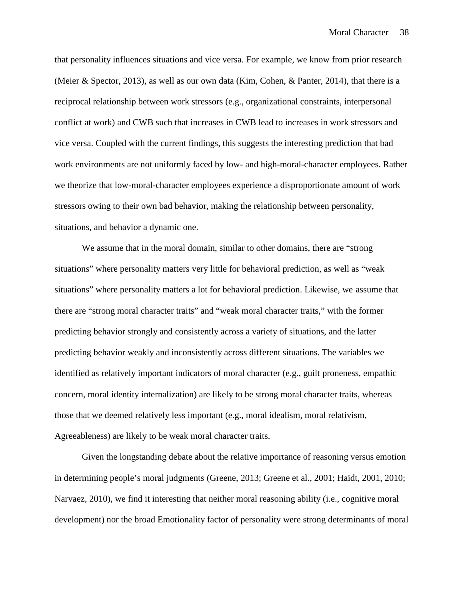that personality influences situations and vice versa. For example, we know from prior research (Meier & Spector, 2013), as well as our own data (Kim, Cohen, & Panter, 2014), that there is a reciprocal relationship between work stressors (e.g., organizational constraints, interpersonal conflict at work) and CWB such that increases in CWB lead to increases in work stressors and vice versa. Coupled with the current findings, this suggests the interesting prediction that bad work environments are not uniformly faced by low- and high-moral-character employees. Rather we theorize that low-moral-character employees experience a disproportionate amount of work stressors owing to their own bad behavior, making the relationship between personality, situations, and behavior a dynamic one.

We assume that in the moral domain, similar to other domains, there are "strong situations" where personality matters very little for behavioral prediction, as well as "weak situations" where personality matters a lot for behavioral prediction. Likewise, we assume that there are "strong moral character traits" and "weak moral character traits," with the former predicting behavior strongly and consistently across a variety of situations, and the latter predicting behavior weakly and inconsistently across different situations. The variables we identified as relatively important indicators of moral character (e.g., guilt proneness, empathic concern, moral identity internalization) are likely to be strong moral character traits, whereas those that we deemed relatively less important (e.g., moral idealism, moral relativism, Agreeableness) are likely to be weak moral character traits.

Given the longstanding debate about the relative importance of reasoning versus emotion in determining people's moral judgments (Greene, 2013; Greene et al., 2001; Haidt, 2001, 2010; Narvaez, 2010), we find it interesting that neither moral reasoning ability (i.e., cognitive moral development) nor the broad Emotionality factor of personality were strong determinants of moral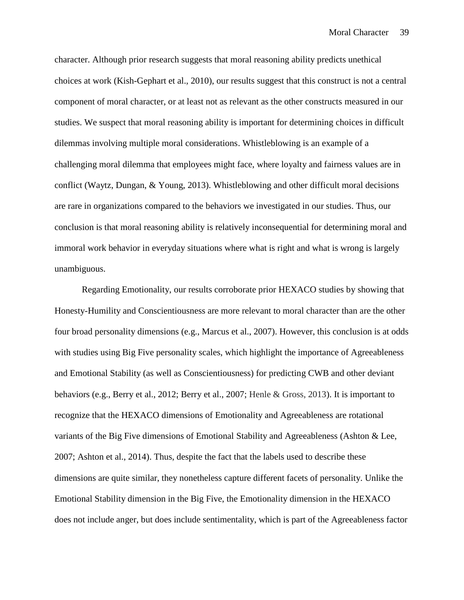character. Although prior research suggests that moral reasoning ability predicts unethical choices at work (Kish-Gephart et al., 2010), our results suggest that this construct is not a central component of moral character, or at least not as relevant as the other constructs measured in our studies. We suspect that moral reasoning ability is important for determining choices in difficult dilemmas involving multiple moral considerations. Whistleblowing is an example of a challenging moral dilemma that employees might face, where loyalty and fairness values are in conflict (Waytz, Dungan, & Young, 2013). Whistleblowing and other difficult moral decisions are rare in organizations compared to the behaviors we investigated in our studies. Thus, our conclusion is that moral reasoning ability is relatively inconsequential for determining moral and immoral work behavior in everyday situations where what is right and what is wrong is largely unambiguous.

Regarding Emotionality, our results corroborate prior HEXACO studies by showing that Honesty-Humility and Conscientiousness are more relevant to moral character than are the other four broad personality dimensions (e.g., Marcus et al., 2007). However, this conclusion is at odds with studies using Big Five personality scales, which highlight the importance of Agreeableness and Emotional Stability (as well as Conscientiousness) for predicting CWB and other deviant behaviors (e.g., Berry et al., 2012; Berry et al., 2007; Henle & Gross, 2013). It is important to recognize that the HEXACO dimensions of Emotionality and Agreeableness are rotational variants of the Big Five dimensions of Emotional Stability and Agreeableness (Ashton & Lee, 2007; Ashton et al., 2014). Thus, despite the fact that the labels used to describe these dimensions are quite similar, they nonetheless capture different facets of personality. Unlike the Emotional Stability dimension in the Big Five, the Emotionality dimension in the HEXACO does not include anger, but does include sentimentality, which is part of the Agreeableness factor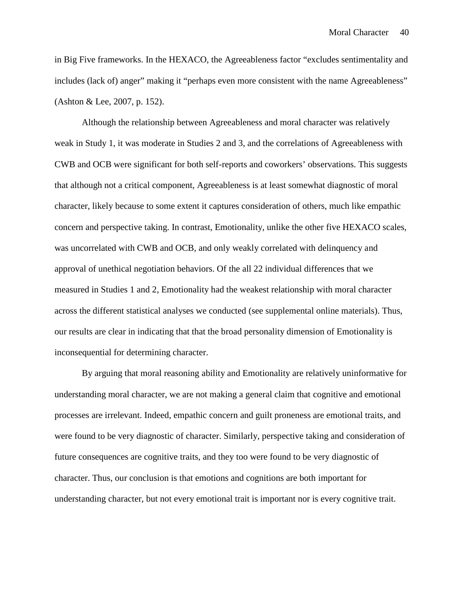in Big Five frameworks. In the HEXACO, the Agreeableness factor "excludes sentimentality and includes (lack of) anger" making it "perhaps even more consistent with the name Agreeableness" (Ashton & Lee, 2007, p. 152).

Although the relationship between Agreeableness and moral character was relatively weak in Study 1, it was moderate in Studies 2 and 3, and the correlations of Agreeableness with CWB and OCB were significant for both self-reports and coworkers' observations. This suggests that although not a critical component, Agreeableness is at least somewhat diagnostic of moral character, likely because to some extent it captures consideration of others, much like empathic concern and perspective taking. In contrast, Emotionality, unlike the other five HEXACO scales, was uncorrelated with CWB and OCB, and only weakly correlated with delinquency and approval of unethical negotiation behaviors. Of the all 22 individual differences that we measured in Studies 1 and 2, Emotionality had the weakest relationship with moral character across the different statistical analyses we conducted (see supplemental online materials). Thus, our results are clear in indicating that that the broad personality dimension of Emotionality is inconsequential for determining character.

By arguing that moral reasoning ability and Emotionality are relatively uninformative for understanding moral character, we are not making a general claim that cognitive and emotional processes are irrelevant. Indeed, empathic concern and guilt proneness are emotional traits, and were found to be very diagnostic of character. Similarly, perspective taking and consideration of future consequences are cognitive traits, and they too were found to be very diagnostic of character. Thus, our conclusion is that emotions and cognitions are both important for understanding character, but not every emotional trait is important nor is every cognitive trait.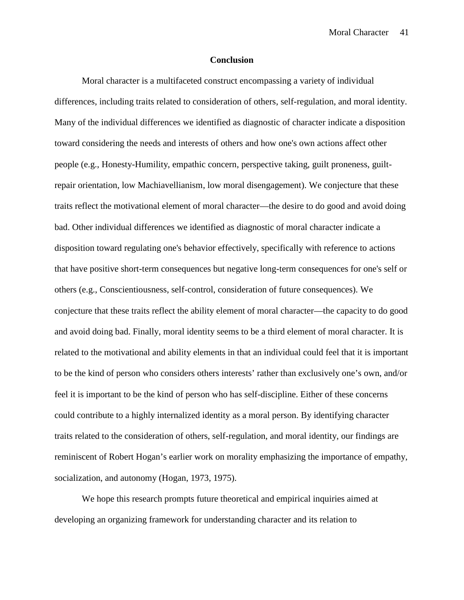#### **Conclusion**

Moral character is a multifaceted construct encompassing a variety of individual differences, including traits related to consideration of others, self-regulation, and moral identity. Many of the individual differences we identified as diagnostic of character indicate a disposition toward considering the needs and interests of others and how one's own actions affect other people (e.g., Honesty-Humility, empathic concern, perspective taking, guilt proneness, guiltrepair orientation, low Machiavellianism, low moral disengagement). We conjecture that these traits reflect the motivational element of moral character—the desire to do good and avoid doing bad. Other individual differences we identified as diagnostic of moral character indicate a disposition toward regulating one's behavior effectively, specifically with reference to actions that have positive short-term consequences but negative long-term consequences for one's self or others (e.g., Conscientiousness, self-control, consideration of future consequences). We conjecture that these traits reflect the ability element of moral character—the capacity to do good and avoid doing bad. Finally, moral identity seems to be a third element of moral character. It is related to the motivational and ability elements in that an individual could feel that it is important to be the kind of person who considers others interests' rather than exclusively one's own, and/or feel it is important to be the kind of person who has self-discipline. Either of these concerns could contribute to a highly internalized identity as a moral person. By identifying character traits related to the consideration of others, self-regulation, and moral identity, our findings are reminiscent of Robert Hogan's earlier work on morality emphasizing the importance of empathy, socialization, and autonomy (Hogan, 1973, 1975).

We hope this research prompts future theoretical and empirical inquiries aimed at developing an organizing framework for understanding character and its relation to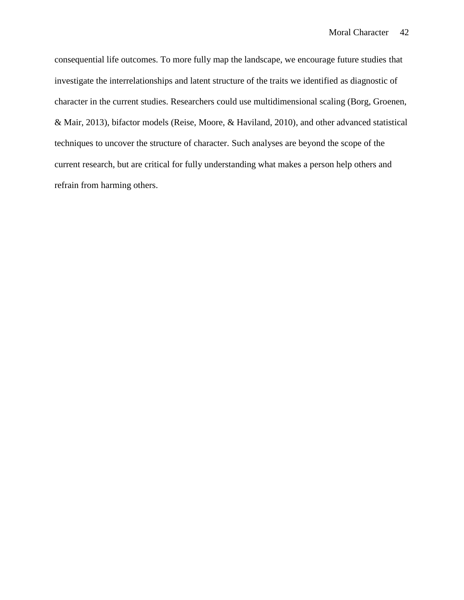consequential life outcomes. To more fully map the landscape, we encourage future studies that investigate the interrelationships and latent structure of the traits we identified as diagnostic of character in the current studies. Researchers could use multidimensional scaling (Borg, Groenen, & Mair, 2013), bifactor models (Reise, Moore, & Haviland, 2010), and other advanced statistical techniques to uncover the structure of character. Such analyses are beyond the scope of the current research, but are critical for fully understanding what makes a person help others and refrain from harming others.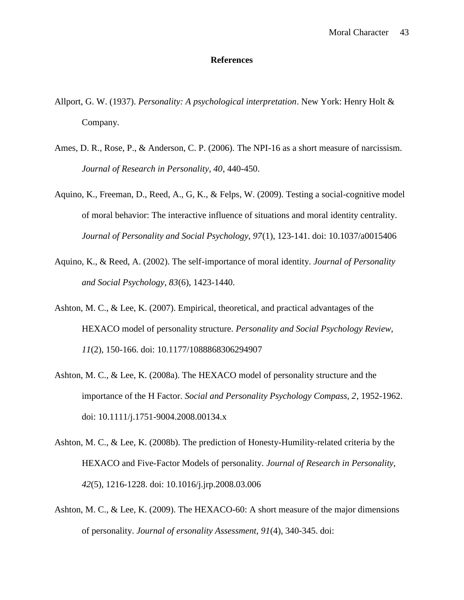## **References**

- Allport, G. W. (1937). *Personality: A psychological interpretation*. New York: Henry Holt & Company.
- Ames, D. R., Rose, P., & Anderson, C. P. (2006). The NPI-16 as a short measure of narcissism. *Journal of Research in Personality, 40*, 440-450.
- Aquino, K., Freeman, D., Reed, A., G, K., & Felps, W. (2009). Testing a social-cognitive model of moral behavior: The interactive influence of situations and moral identity centrality. *Journal of Personality and Social Psychology, 97*(1), 123-141. doi: 10.1037/a0015406
- Aquino, K., & Reed, A. (2002). The self-importance of moral identity. *Journal of Personality and Social Psychology, 83*(6), 1423-1440.
- Ashton, M. C., & Lee, K. (2007). Empirical, theoretical, and practical advantages of the HEXACO model of personality structure. *Personality and Social Psychology Review, 11*(2), 150-166. doi: 10.1177/1088868306294907
- Ashton, M. C., & Lee, K. (2008a). The HEXACO model of personality structure and the importance of the H Factor. *Social and Personality Psychology Compass, 2*, 1952-1962. doi: 10.1111/j.1751-9004.2008.00134.x
- Ashton, M. C., & Lee, K. (2008b). The prediction of Honesty-Humility-related criteria by the HEXACO and Five-Factor Models of personality. *Journal of Research in Personality, 42*(5), 1216-1228. doi: 10.1016/j.jrp.2008.03.006
- Ashton, M. C., & Lee, K. (2009). The HEXACO-60: A short measure of the major dimensions of personality. *Journal of ersonality Assessment, 91*(4), 340-345. doi: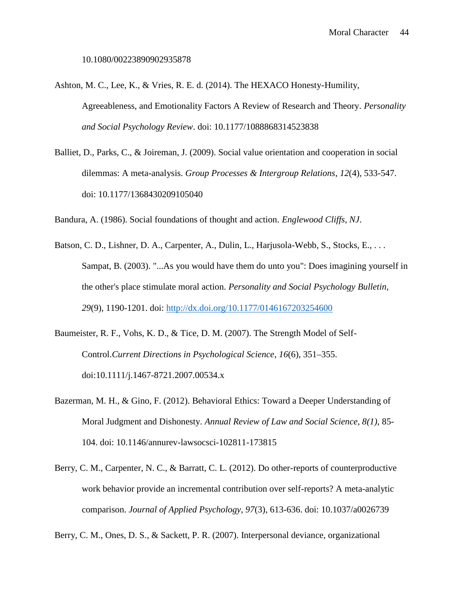- Ashton, M. C., Lee, K., & Vries, R. E. d. (2014). The HEXACO Honesty-Humility, Agreeableness, and Emotionality Factors A Review of Research and Theory. *Personality and Social Psychology Review*. doi: 10.1177/1088868314523838
- Balliet, D., Parks, C., & Joireman, J. (2009). Social value orientation and cooperation in social dilemmas: A meta-analysis. *Group Processes & Intergroup Relations*, *12*(4), 533-547. doi: 10.1177/1368430209105040

Bandura, A. (1986). Social foundations of thought and action. *Englewood Cliffs, NJ*.

- Batson, C. D., Lishner, D. A., Carpenter, A., Dulin, L., Harjusola-Webb, S., Stocks, E., ... Sampat, B. (2003). "...As you would have them do unto you": Does imagining yourself in the other's place stimulate moral action. *Personality and Social Psychology Bulletin, 29*(9), 1190-1201. doi: http://dx.doi.org/10.1177/0146167203254600
- Baumeister, R. F., Vohs, K. D., & Tice, D. M. (2007). The Strength Model of Self- Control.*Current Directions in Psychological Science*, *16*(6), 351–355. doi:10.1111/j.1467-8721.2007.00534.x
- Bazerman, M. H., & Gino, F. (2012). Behavioral Ethics: Toward a Deeper Understanding of Moral Judgment and Dishonesty. *Annual Review of Law and Social Science, 8(1),* 85- 104. doi: 10.1146/annurev-lawsocsci-102811-173815
- Berry, C. M., Carpenter, N. C., & Barratt, C. L. (2012). Do other-reports of counterproductive work behavior provide an incremental contribution over self-reports? A meta-analytic comparison. *Journal of Applied Psychology, 97*(3), 613-636. doi: 10.1037/a0026739

Berry, C. M., Ones, D. S., & Sackett, P. R. (2007). Interpersonal deviance, organizational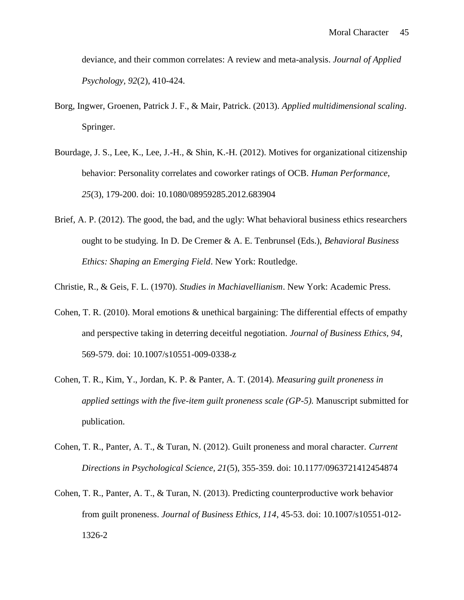deviance, and their common correlates: A review and meta-analysis. *Journal of Applied Psychology, 92*(2), 410-424.

- Borg, Ingwer, Groenen, Patrick J. F., & Mair, Patrick. (2013). *Applied multidimensional scaling*. Springer.
- Bourdage, J. S., Lee, K., Lee, J.-H., & Shin, K.-H. (2012). Motives for organizational citizenship behavior: Personality correlates and coworker ratings of OCB. *Human Performance, 25*(3), 179-200. doi: 10.1080/08959285.2012.683904
- Brief, A. P. (2012). The good, the bad, and the ugly: What behavioral business ethics researchers ought to be studying. In D. De Cremer & A. E. Tenbrunsel (Eds.), *Behavioral Business Ethics: Shaping an Emerging Field*. New York: Routledge.

Christie, R., & Geis, F. L. (1970). *Studies in Machiavellianism*. New York: Academic Press.

- Cohen, T. R. (2010). Moral emotions & unethical bargaining: The differential effects of empathy and perspective taking in deterring deceitful negotiation. *Journal of Business Ethics, 94*, 569-579. doi: 10.1007/s10551-009-0338-z
- Cohen, T. R., Kim, Y., Jordan, K. P. & Panter, A. T. (2014). *Measuring guilt proneness in applied settings with the five-item guilt proneness scale (GP-5).* Manuscript submitted for publication.
- Cohen, T. R., Panter, A. T., & Turan, N. (2012). Guilt proneness and moral character. *Current Directions in Psychological Science, 21*(5), 355-359. doi: 10.1177/0963721412454874
- Cohen, T. R., Panter, A. T., & Turan, N. (2013). Predicting counterproductive work behavior from guilt proneness. *Journal of Business Ethics, 114*, 45-53. doi: 10.1007/s10551-012- 1326-2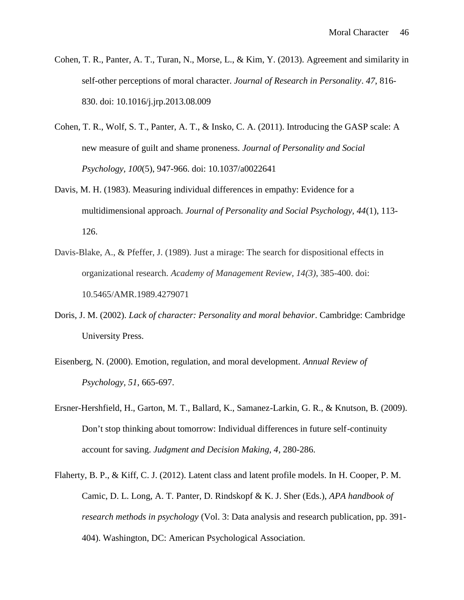- Cohen, T. R., Panter, A. T., Turan, N., Morse, L., & Kim, Y. (2013). Agreement and similarity in self-other perceptions of moral character. *Journal of Research in Personality*. *47*, 816- 830. doi: 10.1016/j.jrp.2013.08.009
- Cohen, T. R., Wolf, S. T., Panter, A. T., & Insko, C. A. (2011). Introducing the GASP scale: A new measure of guilt and shame proneness. *Journal of Personality and Social Psychology, 100*(5), 947-966. doi: 10.1037/a0022641
- Davis, M. H. (1983). Measuring individual differences in empathy: Evidence for a multidimensional approach. *Journal of Personality and Social Psychology, 44*(1), 113- 126.
- Davis-Blake, A., & Pfeffer, J. (1989). Just a mirage: The search for dispositional effects in organizational research. *Academy of Management Review, 14(3)*, 385-400. doi: 10.5465/AMR.1989.4279071
- Doris, J. M. (2002). *Lack of character: Personality and moral behavior*. Cambridge: Cambridge University Press.
- Eisenberg, N. (2000). Emotion, regulation, and moral development. *Annual Review of Psychology, 51*, 665-697.
- Ersner-Hershfield, H., Garton, M. T., Ballard, K., Samanez-Larkin, G. R., & Knutson, B. (2009). Don't stop thinking about tomorrow: Individual differences in future self-continuity account for saving. *Judgment and Decision Making, 4*, 280-286.
- Flaherty, B. P., & Kiff, C. J. (2012). Latent class and latent profile models. In H. Cooper, P. M. Camic, D. L. Long, A. T. Panter, D. Rindskopf & K. J. Sher (Eds.), *APA handbook of research methods in psychology* (Vol. 3: Data analysis and research publication, pp. 391- 404). Washington, DC: American Psychological Association.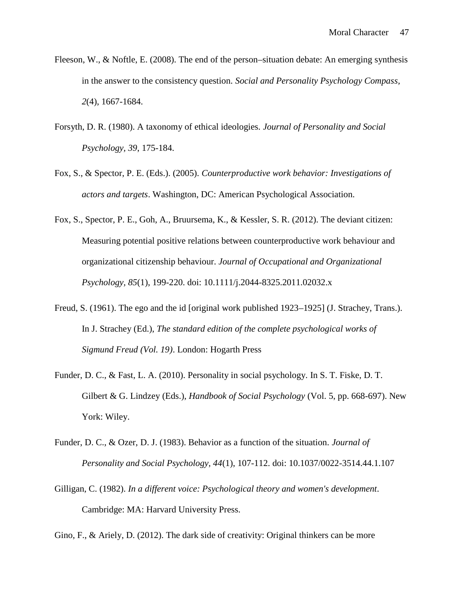- Fleeson, W., & Noftle, E. (2008). The end of the person–situation debate: An emerging synthesis in the answer to the consistency question. *Social and Personality Psychology Compass, 2*(4), 1667-1684.
- Forsyth, D. R. (1980). A taxonomy of ethical ideologies. *Journal of Personality and Social Psychology, 39*, 175-184.
- Fox, S., & Spector, P. E. (Eds.). (2005). *Counterproductive work behavior: Investigations of actors and targets*. Washington, DC: American Psychological Association.
- Fox, S., Spector, P. E., Goh, A., Bruursema, K., & Kessler, S. R. (2012). The deviant citizen: Measuring potential positive relations between counterproductive work behaviour and organizational citizenship behaviour. *Journal of Occupational and Organizational Psychology, 85*(1), 199-220. doi: 10.1111/j.2044-8325.2011.02032.x
- Freud, S. (1961). The ego and the id [original work published 1923–1925] (J. Strachey, Trans.). In J. Strachey (Ed.), *The standard edition of the complete psychological works of Sigmund Freud (Vol. 19)*. London: Hogarth Press
- Funder, D. C., & Fast, L. A. (2010). Personality in social psychology. In S. T. Fiske, D. T. Gilbert & G. Lindzey (Eds.), *Handbook of Social Psychology* (Vol. 5, pp. 668-697). New York: Wiley.
- Funder, D. C., & Ozer, D. J. (1983). Behavior as a function of the situation. *Journal of Personality and Social Psychology, 44*(1), 107-112. doi: 10.1037/0022-3514.44.1.107
- Gilligan, C. (1982). *In a different voice: Psychological theory and women's development*. Cambridge: MA: Harvard University Press.

Gino, F., & Ariely, D. (2012). The dark side of creativity: Original thinkers can be more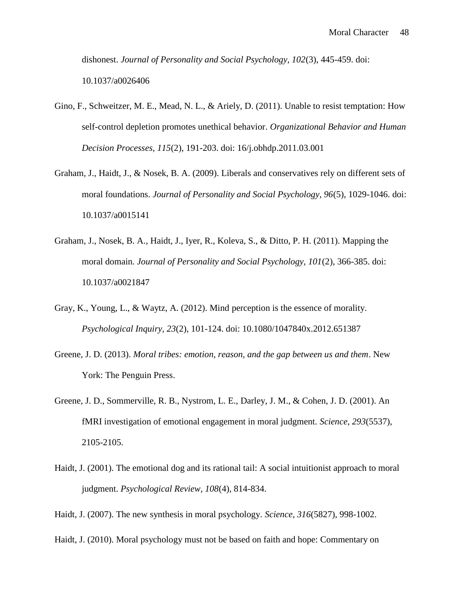dishonest. *Journal of Personality and Social Psychology, 102*(3), 445-459. doi: 10.1037/a0026406

- Gino, F., Schweitzer, M. E., Mead, N. L., & Ariely, D. (2011). Unable to resist temptation: How self-control depletion promotes unethical behavior. *Organizational Behavior and Human Decision Processes, 115*(2), 191-203. doi: 16/j.obhdp.2011.03.001
- Graham, J., Haidt, J., & Nosek, B. A. (2009). Liberals and conservatives rely on different sets of moral foundations. *Journal of Personality and Social Psychology, 96*(5), 1029-1046. doi: 10.1037/a0015141
- Graham, J., Nosek, B. A., Haidt, J., Iyer, R., Koleva, S., & Ditto, P. H. (2011). Mapping the moral domain. *Journal of Personality and Social Psychology, 101*(2), 366-385. doi: 10.1037/a0021847
- Gray, K., Young, L., & Waytz, A. (2012). Mind perception is the essence of morality. *Psychological Inquiry, 23*(2), 101-124. doi: 10.1080/1047840x.2012.651387
- Greene, J. D. (2013). *Moral tribes: emotion, reason, and the gap between us and them*. New York: The Penguin Press.
- Greene, J. D., Sommerville, R. B., Nystrom, L. E., Darley, J. M., & Cohen, J. D. (2001). An fMRI investigation of emotional engagement in moral judgment. *Science, 293*(5537), 2105-2105.
- Haidt, J. (2001). The emotional dog and its rational tail: A social intuitionist approach to moral judgment. *Psychological Review, 108*(4), 814-834.
- Haidt, J. (2007). The new synthesis in moral psychology. *Science, 316*(5827), 998-1002.
- Haidt, J. (2010). Moral psychology must not be based on faith and hope: Commentary on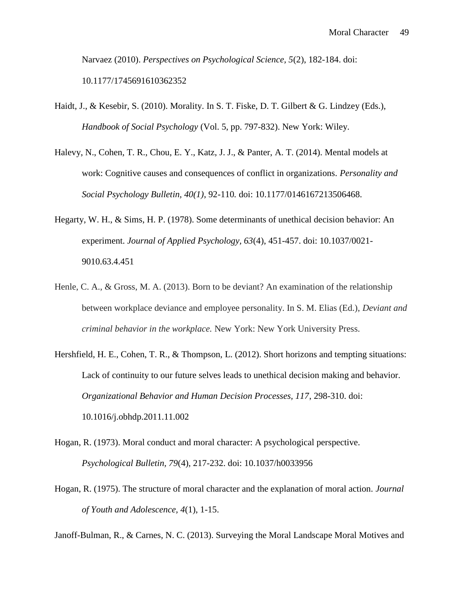Narvaez (2010). *Perspectives on Psychological Science, 5*(2), 182-184. doi: 10.1177/1745691610362352

- Haidt, J., & Kesebir, S. (2010). Morality. In S. T. Fiske, D. T. Gilbert & G. Lindzey (Eds.), *Handbook of Social Psychology* (Vol. 5, pp. 797-832). New York: Wiley.
- Halevy, N., Cohen, T. R., Chou, E. Y., Katz, J. J., & Panter, A. T. (2014). Mental models at work: Cognitive causes and consequences of conflict in organizations. *Personality and Social Psychology Bulletin, 40(1)*, 92-110*.* doi: 10.1177/0146167213506468.
- Hegarty, W. H., & Sims, H. P. (1978). Some determinants of unethical decision behavior: An experiment. *Journal of Applied Psychology, 63*(4), 451-457. doi: 10.1037/0021- 9010.63.4.451
- Henle, C. A., & Gross, M. A. (2013). Born to be deviant? An examination of the relationship between workplace deviance and employee personality. In S. M. Elias (Ed.), *Deviant and criminal behavior in the workplace.* New York: New York University Press.
- Hershfield, H. E., Cohen, T. R., & Thompson, L. (2012). Short horizons and tempting situations: Lack of continuity to our future selves leads to unethical decision making and behavior. *Organizational Behavior and Human Decision Processes, 117*, 298-310. doi: 10.1016/j.obhdp.2011.11.002
- Hogan, R. (1973). Moral conduct and moral character: A psychological perspective. *Psychological Bulletin, 79*(4), 217-232. doi: 10.1037/h0033956
- Hogan, R. (1975). The structure of moral character and the explanation of moral action. *Journal of Youth and Adolescence, 4*(1), 1-15.

Janoff-Bulman, R., & Carnes, N. C. (2013). Surveying the Moral Landscape Moral Motives and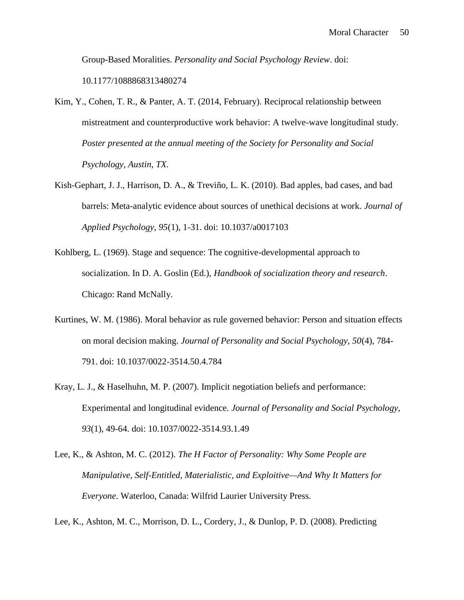Group-Based Moralities. *Personality and Social Psychology Review*. doi: 10.1177/1088868313480274

- Kim, Y., Cohen, T. R., & Panter, A. T. (2014, February). Reciprocal relationship between mistreatment and counterproductive work behavior: A twelve-wave longitudinal study. *Poster presented at the annual meeting of the Society for Personality and Social Psychology, Austin, TX.*
- Kish-Gephart, J. J., Harrison, D. A., & Treviño, L. K. (2010). Bad apples, bad cases, and bad barrels: Meta-analytic evidence about sources of unethical decisions at work. *Journal of Applied Psychology, 95*(1), 1-31. doi: 10.1037/a0017103
- Kohlberg, L. (1969). Stage and sequence: The cognitive-developmental approach to socialization. In D. A. Goslin (Ed.), *Handbook of socialization theory and research*. Chicago: Rand McNally.
- Kurtines, W. M. (1986). Moral behavior as rule governed behavior: Person and situation effects on moral decision making. *Journal of Personality and Social Psychology, 50*(4), 784- 791. doi: 10.1037/0022-3514.50.4.784
- Kray, L. J., & Haselhuhn, M. P. (2007). Implicit negotiation beliefs and performance: Experimental and longitudinal evidence. *Journal of Personality and Social Psychology, 93*(1), 49-64. doi: 10.1037/0022-3514.93.1.49
- Lee, K., & Ashton, M. C. (2012). *The H Factor of Personality: Why Some People are Manipulative, Self-Entitled, Materialistic, and Exploitive—And Why It Matters for Everyone*. Waterloo, Canada: Wilfrid Laurier University Press.

Lee, K., Ashton, M. C., Morrison, D. L., Cordery, J., & Dunlop, P. D. (2008). Predicting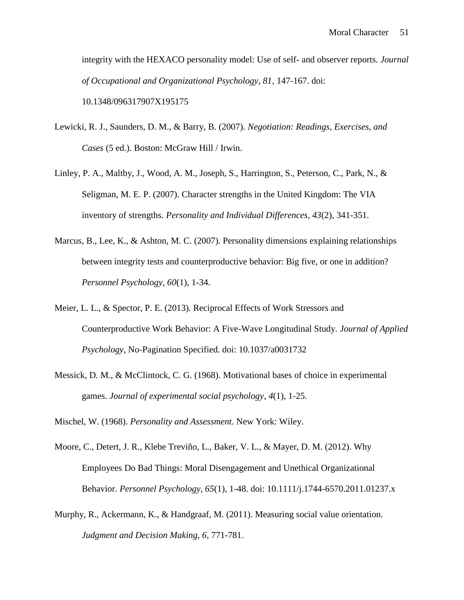integrity with the HEXACO personality model: Use of self- and observer reports. *Journal of Occupational and Organizational Psychology, 81*, 147-167. doi: 10.1348/096317907X195175

- Lewicki, R. J., Saunders, D. M., & Barry, B. (2007). *Negotiation: Readings, Exercises, and Cases* (5 ed.). Boston: McGraw Hill / Irwin.
- Linley, P. A., Maltby, J., Wood, A. M., Joseph, S., Harrington, S., Peterson, C., Park, N., & Seligman, M. E. P. (2007). Character strengths in the United Kingdom: The VIA inventory of strengths. *Personality and Individual Differences, 43*(2), 341-351.
- Marcus, B., Lee, K., & Ashton, M. C. (2007). Personality dimensions explaining relationships between integrity tests and counterproductive behavior: Big five, or one in addition? *Personnel Psychology, 60*(1), 1-34.
- Meier, L. L., & Spector, P. E. (2013). Reciprocal Effects of Work Stressors and Counterproductive Work Behavior: A Five-Wave Longitudinal Study. *Journal of Applied Psychology*, No-Pagination Specified. doi: 10.1037/a0031732
- Messick, D. M., & McClintock, C. G. (1968). Motivational bases of choice in experimental games. *Journal of experimental social psychology*, *4*(1), 1-25.

Mischel, W. (1968). *Personality and Assessment*. New York: Wiley.

- Moore, C., Detert, J. R., Klebe Treviño, L., Baker, V. L., & Mayer, D. M. (2012). Why Employees Do Bad Things: Moral Disengagement and Unethical Organizational Behavior. *Personnel Psychology, 65*(1), 1-48. doi: 10.1111/j.1744-6570.2011.01237.x
- Murphy, R., Ackermann, K., & Handgraaf, M. (2011). Measuring social value orientation. *Judgment and Decision Making, 6*, 771-781.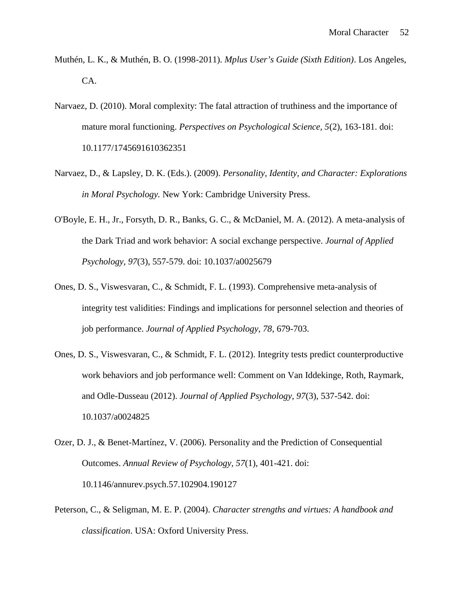- Muthén, L. K., & Muthén, B. O. (1998-2011). *Mplus User's Guide (Sixth Edition)*. Los Angeles, CA.
- Narvaez, D. (2010). Moral complexity: The fatal attraction of truthiness and the importance of mature moral functioning. *Perspectives on Psychological Science, 5*(2), 163-181. doi: 10.1177/1745691610362351
- Narvaez, D., & Lapsley, D. K. (Eds.). (2009). *Personality, Identity, and Character: Explorations in Moral Psychology.* New York: Cambridge University Press.
- O'Boyle, E. H., Jr., Forsyth, D. R., Banks, G. C., & McDaniel, M. A. (2012). A meta-analysis of the Dark Triad and work behavior: A social exchange perspective. *Journal of Applied Psychology, 97*(3), 557-579. doi: 10.1037/a0025679
- Ones, D. S., Viswesvaran, C., & Schmidt, F. L. (1993). Comprehensive meta-analysis of integrity test validities: Findings and implications for personnel selection and theories of job performance. *Journal of Applied Psychology, 78*, 679-703.
- Ones, D. S., Viswesvaran, C., & Schmidt, F. L. (2012). Integrity tests predict counterproductive work behaviors and job performance well: Comment on Van Iddekinge, Roth, Raymark, and Odle-Dusseau (2012). *Journal of Applied Psychology, 97*(3), 537-542. doi: 10.1037/a0024825
- Ozer, D. J., & Benet-Martínez, V. (2006). Personality and the Prediction of Consequential Outcomes. *Annual Review of Psychology, 57*(1), 401-421. doi: 10.1146/annurev.psych.57.102904.190127
- Peterson, C., & Seligman, M. E. P. (2004). *Character strengths and virtues: A handbook and classification*. USA: Oxford University Press.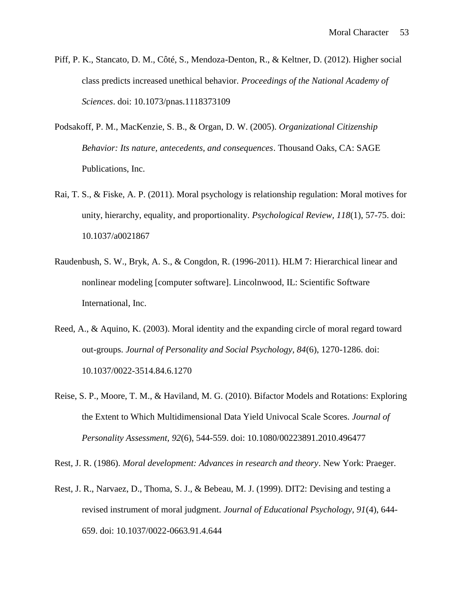- Piff, P. K., Stancato, D. M., Côté, S., Mendoza-Denton, R., & Keltner, D. (2012). Higher social class predicts increased unethical behavior. *Proceedings of the National Academy of Sciences*. doi: 10.1073/pnas.1118373109
- Podsakoff, P. M., MacKenzie, S. B., & Organ, D. W. (2005). *Organizational Citizenship Behavior: Its nature, antecedents, and consequences*. Thousand Oaks, CA: SAGE Publications, Inc.
- Rai, T. S., & Fiske, A. P. (2011). Moral psychology is relationship regulation: Moral motives for unity, hierarchy, equality, and proportionality. *Psychological Review, 118*(1), 57-75. doi: 10.1037/a0021867
- Raudenbush, S. W., Bryk, A. S., & Congdon, R. (1996-2011). HLM 7: Hierarchical linear and nonlinear modeling [computer software]. Lincolnwood, IL: Scientific Software International, Inc.
- Reed, A., & Aquino, K. (2003). Moral identity and the expanding circle of moral regard toward out-groups. *Journal of Personality and Social Psychology, 84*(6), 1270-1286. doi: 10.1037/0022-3514.84.6.1270
- Reise, S. P., Moore, T. M., & Haviland, M. G. (2010). Bifactor Models and Rotations: Exploring the Extent to Which Multidimensional Data Yield Univocal Scale Scores. *Journal of Personality Assessment, 92*(6), 544-559. doi: 10.1080/00223891.2010.496477

Rest, J. R. (1986). *Moral development: Advances in research and theory*. New York: Praeger.

Rest, J. R., Narvaez, D., Thoma, S. J., & Bebeau, M. J. (1999). DIT2: Devising and testing a revised instrument of moral judgment. *Journal of Educational Psychology, 91*(4), 644- 659. doi: 10.1037/0022-0663.91.4.644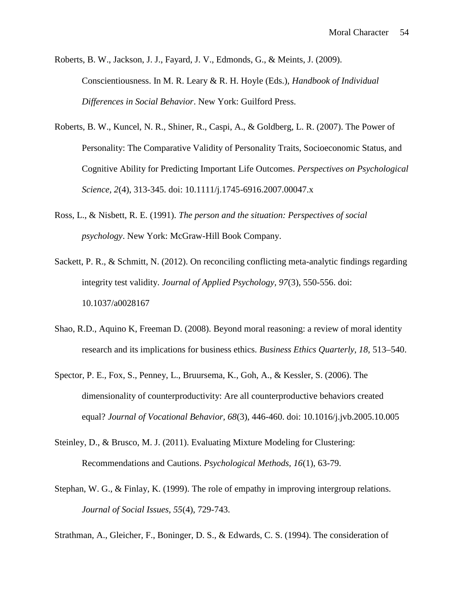Roberts, B. W., Jackson, J. J., Fayard, J. V., Edmonds, G., & Meints, J. (2009). Conscientiousness. In M. R. Leary & R. H. Hoyle (Eds.), *Handbook of Individual Differences in Social Behavior*. New York: Guilford Press.

- Roberts, B. W., Kuncel, N. R., Shiner, R., Caspi, A., & Goldberg, L. R. (2007). The Power of Personality: The Comparative Validity of Personality Traits, Socioeconomic Status, and Cognitive Ability for Predicting Important Life Outcomes. *Perspectives on Psychological Science, 2*(4), 313-345. doi: 10.1111/j.1745-6916.2007.00047.x
- Ross, L., & Nisbett, R. E. (1991). *The person and the situation: Perspectives of social psychology*. New York: McGraw-Hill Book Company.
- Sackett, P. R., & Schmitt, N. (2012). On reconciling conflicting meta-analytic findings regarding integrity test validity. *Journal of Applied Psychology, 97*(3), 550-556. doi: 10.1037/a0028167
- Shao, R.D., Aquino K, Freeman D. (2008). Beyond moral reasoning: a review of moral identity research and its implications for business ethics. *Business Ethics Quarterly, 18,* 513–540.
- Spector, P. E., Fox, S., Penney, L., Bruursema, K., Goh, A., & Kessler, S. (2006). The dimensionality of counterproductivity: Are all counterproductive behaviors created equal? *Journal of Vocational Behavior, 68*(3), 446-460. doi: 10.1016/j.jvb.2005.10.005
- Steinley, D., & Brusco, M. J. (2011). Evaluating Mixture Modeling for Clustering: Recommendations and Cautions. *Psychological Methods, 16*(1), 63-79.
- Stephan, W. G., & Finlay, K. (1999). The role of empathy in improving intergroup relations. *Journal of Social Issues, 55*(4), 729-743.

Strathman, A., Gleicher, F., Boninger, D. S., & Edwards, C. S. (1994). The consideration of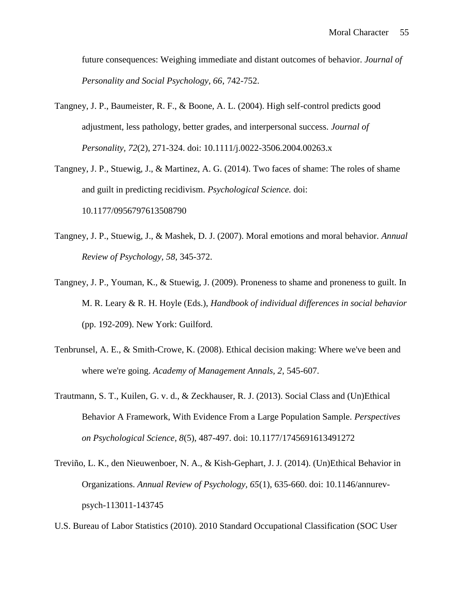future consequences: Weighing immediate and distant outcomes of behavior. *Journal of Personality and Social Psychology, 66*, 742-752.

- Tangney, J. P., Baumeister, R. F., & Boone, A. L. (2004). High self-control predicts good adjustment, less pathology, better grades, and interpersonal success. *Journal of Personality, 72*(2), 271-324. doi: 10.1111/j.0022-3506.2004.00263.x
- Tangney, J. P., Stuewig, J., & Martinez, A. G. (2014). Two faces of shame: The roles of shame and guilt in predicting recidivism. *Psychological Science.* doi: 10.1177/0956797613508790
- Tangney, J. P., Stuewig, J., & Mashek, D. J. (2007). Moral emotions and moral behavior. *Annual Review of Psychology, 58*, 345-372.
- Tangney, J. P., Youman, K., & Stuewig, J. (2009). Proneness to shame and proneness to guilt. In M. R. Leary & R. H. Hoyle (Eds.), *Handbook of individual differences in social behavior* (pp. 192-209). New York: Guilford.
- Tenbrunsel, A. E., & Smith-Crowe, K. (2008). Ethical decision making: Where we've been and where we're going. *Academy of Management Annals, 2*, 545-607.
- Trautmann, S. T., Kuilen, G. v. d., & Zeckhauser, R. J. (2013). Social Class and (Un)Ethical Behavior A Framework, With Evidence From a Large Population Sample. *Perspectives on Psychological Science, 8*(5), 487-497. doi: 10.1177/1745691613491272
- Treviño, L. K., den Nieuwenboer, N. A., & Kish-Gephart, J. J. (2014). (Un)Ethical Behavior in Organizations. *Annual Review of Psychology, 65*(1), 635-660. doi: 10.1146/annurev psych-113011-143745
- U.S. Bureau of Labor Statistics (2010). 2010 Standard Occupational Classification (SOC User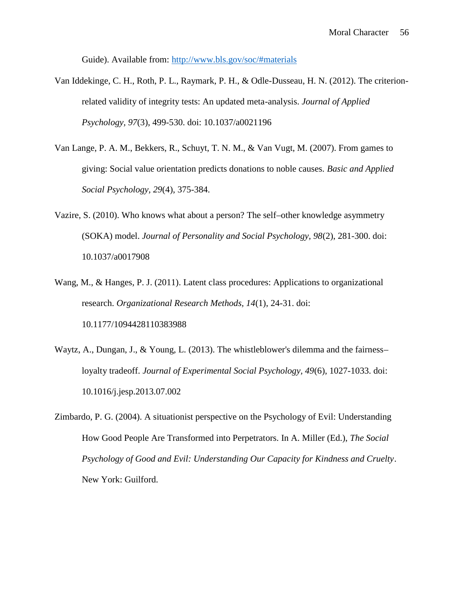Guide). Available from: http://www.bls.gov/soc/#materials

- Van Iddekinge, C. H., Roth, P. L., Raymark, P. H., & Odle-Dusseau, H. N. (2012). The criterionrelated validity of integrity tests: An updated meta-analysis. *Journal of Applied Psychology, 97*(3), 499-530. doi: 10.1037/a0021196
- Van Lange, P. A. M., Bekkers, R., Schuyt, T. N. M., & Van Vugt, M. (2007). From games to giving: Social value orientation predicts donations to noble causes. *Basic and Applied Social Psychology, 29*(4), 375-384.
- Vazire, S. (2010). Who knows what about a person? The self–other knowledge asymmetry (SOKA) model. *Journal of Personality and Social Psychology, 98*(2), 281-300. doi: 10.1037/a0017908
- Wang, M., & Hanges, P. J. (2011). Latent class procedures: Applications to organizational research. *Organizational Research Methods, 14*(1), 24-31. doi: 10.1177/1094428110383988
- Waytz, A., Dungan, J., & Young, L. (2013). The whistleblower's dilemma and the fairness– loyalty tradeoff. *Journal of Experimental Social Psychology, 49*(6), 1027-1033. doi: 10.1016/j.jesp.2013.07.002
- Zimbardo, P. G. (2004). A situationist perspective on the Psychology of Evil: Understanding How Good People Are Transformed into Perpetrators. In A. Miller (Ed.), *The Social Psychology of Good and Evil: Understanding Our Capacity for Kindness and Cruelty*. New York: Guilford.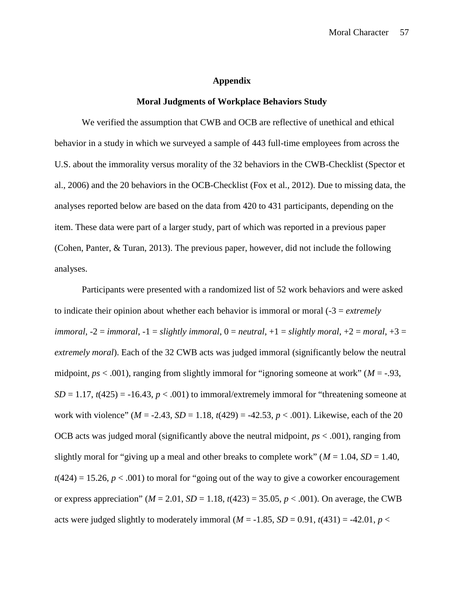#### **Appendix**

#### **Moral Judgments of Workplace Behaviors Study**

We verified the assumption that CWB and OCB are reflective of unethical and ethical behavior in a study in which we surveyed a sample of 443 full-time employees from across the U.S. about the immorality versus morality of the 32 behaviors in the CWB-Checklist (Spector et al., 2006) and the 20 behaviors in the OCB-Checklist (Fox et al., 2012). Due to missing data, the analyses reported below are based on the data from 420 to 431 participants, depending on the item. These data were part of a larger study, part of which was reported in a previous paper (Cohen, Panter, & Turan, 2013). The previous paper, however, did not include the following analyses.

Participants were presented with a randomized list of 52 work behaviors and were asked to indicate their opinion about whether each behavior is immoral or moral (-3 = *extremely immoral*,  $-2 = \text{im } z$ ,  $-1 = \text{slight } z$  *immoral*,  $0 = \text{neutral}$ ,  $+1 = \text{slight } z$  *moral*,  $+2 = \text{m } z$ ,  $+3 = \text{m } z$ *extremely moral*). Each of the 32 CWB acts was judged immoral (significantly below the neutral midpoint, *ps* < .001), ranging from slightly immoral for "ignoring someone at work" (*M* = -.93,  $SD = 1.17$ ,  $t(425) = -16.43$ ,  $p < .001$ ) to immoral/extremely immoral for "threatening someone at work with violence"  $(M = -2.43, SD = 1.18, t(429) = -42.53, p < .001)$ . Likewise, each of the 20 OCB acts was judged moral (significantly above the neutral midpoint, *ps* < .001), ranging from slightly moral for "giving up a meal and other breaks to complete work" ( $M = 1.04$ ,  $SD = 1.40$ ,  $t(424) = 15.26, p < .001$ ) to moral for "going out of the way to give a coworker encouragement or express appreciation" ( $M = 2.01$ ,  $SD = 1.18$ ,  $t(423) = 35.05$ ,  $p < .001$ ). On average, the CWB acts were judged slightly to moderately immoral  $(M = -1.85, SD = 0.91, t(431) = -42.01, p <$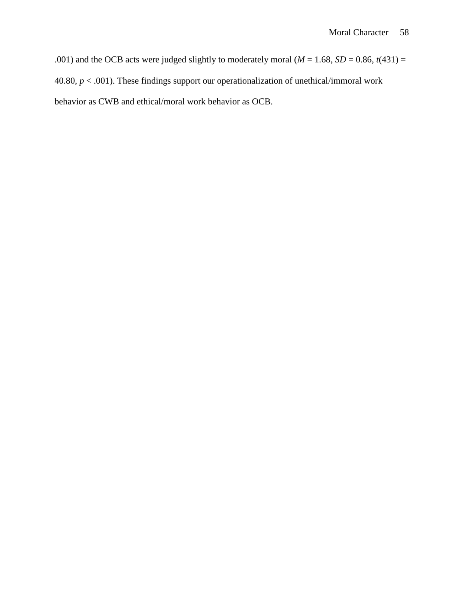.001) and the OCB acts were judged slightly to moderately moral ( $M = 1.68$ ,  $SD = 0.86$ ,  $t(431) =$ 40.80, *p* < .001). These findings support our operationalization of unethical/immoral work behavior as CWB and ethical/moral work behavior as OCB.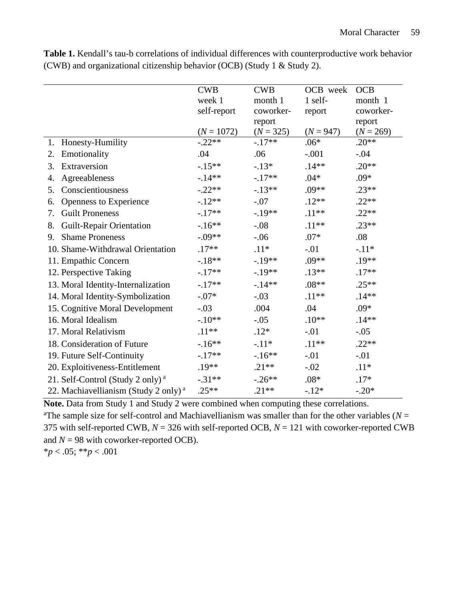|                                                  | <b>CWB</b><br>week 1 | <b>CWB</b><br>month 1 | OCB week<br>1 self- | <b>OCB</b><br>month 1 |
|--------------------------------------------------|----------------------|-----------------------|---------------------|-----------------------|
|                                                  | self-report          | coworker-             | report              | coworker-             |
|                                                  |                      | report                |                     | report                |
|                                                  | $(N = 1072)$         | $(N = 325)$           | $(N = 947)$         | $(N = 269)$           |
| Honesty-Humility<br>1.                           | $-.22**$             | $-17**$               | $.06*$              | $.20**$               |
| Emotionality<br>2.                               | .04                  | .06                   | $-.001$             | $-.04$                |
| Extraversion<br>3.                               | $-.15**$             | $-.13*$               | $.14**$             | $.20**$               |
| Agreeableness<br>4.                              | $-14**$              | $-.17**$              | $.04*$              | $.09*$                |
| Conscientiousness<br>5.                          | $-.22**$             | $-13**$               | $.09**$             | $.23**$               |
| Openness to Experience<br>6.                     | $-.12**$             | $-.07$                | $.12**$             | $.22**$               |
| <b>Guilt Proneness</b><br>7.                     | $-.17**$             | $-.19**$              | $.11**$             | $.22**$               |
| <b>Guilt-Repair Orientation</b><br>8.            | $-16**$              | $-.08$                | $.11**$             | $.23**$               |
| 9. Shame Proneness                               | $-.09**$             | $-.06$                | $.07*$              | .08                   |
| 10. Shame-Withdrawal Orientation                 | $.17**$              | $.11*$                | $-.01$              | $-.11*$               |
| 11. Empathic Concern                             | $-18**$              | $-.19**$              | $.09**$             | $.19**$               |
| 12. Perspective Taking                           | $-.17**$             | $-.19**$              | $.13**$             | $.17**$               |
| 13. Moral Identity-Internalization               | $-.17**$             | $-14**$               | $.08**$             | $.25**$               |
| 14. Moral Identity-Symbolization                 | $-.07*$              | $-.03$                | $.11**$             | $.14**$               |
| 15. Cognitive Moral Development                  | $-.03$               | .004                  | .04                 | $.09*$                |
| 16. Moral Idealism                               | $-.10**$             | $-.05$                | $.10**$             | $.14**$               |
| 17. Moral Relativism                             | $.11**$              | $.12*$                | $-.01$              | $-.05$                |
| 18. Consideration of Future                      | $-16**$              | $-.11*$               | $.11**$             | $.22**$               |
| 19. Future Self-Continuity                       | $-.17**$             | $-16**$               | $-.01$              | $-.01$                |
| 20. Exploitiveness-Entitlement                   | $.19**$              | $.21**$               | $-.02$              | $.11*$                |
| 21. Self-Control (Study 2 only) <sup>a</sup>     | $-.31**$             | $-.26**$              | $.08*$              | $.17*$                |
| 22. Machiavellianism (Study 2 only) <sup>a</sup> | $.25**$              | $.21**$               | $-.12*$             | $-.20*$               |

**Table 1.** Kendall's tau-b correlations of individual differences with counterproductive work behavior (CWB) and organizational citizenship behavior (OCB) (Study 1 & Study 2).

**Note.** Data from Study 1 and Study 2 were combined when computing these correlations. <sup>a</sup>The sample size for self-control and Machiavellianism was smaller than for the other variables ( $N =$ 375 with self-reported CWB, *N* = 326 with self-reported OCB, *N* = 121 with coworker-reported CWB and  $N = 98$  with coworker-reported OCB).

\**p* < .05; \*\**p* < .001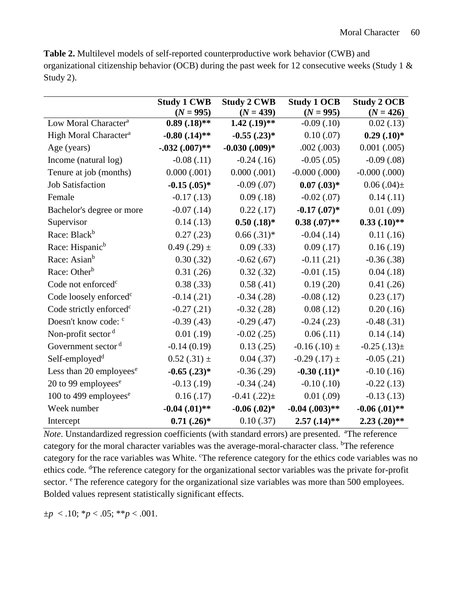**Table 2.** Multilevel models of self-reported counterproductive work behavior (CWB) and organizational citizenship behavior (OCB) during the past week for 12 consecutive weeks (Study 1  $\&$ Study 2).

|                                     | <b>Study 1 CWB</b>  | <b>Study 2 CWB</b>  | <b>Study 1 OCB</b>  | <b>Study 2 OCB</b>  |
|-------------------------------------|---------------------|---------------------|---------------------|---------------------|
|                                     | $(N = 995)$         | $(N = 439)$         | $(N = 995)$         | $(N = 426)$         |
| Low Moral Character <sup>a</sup>    | $0.89(.18)$ **      | $1.42$ $(.19)**$    | $-0.09(0.10)$       | 0.02(0.13)          |
| High Moral Character <sup>a</sup>   | $-0.80$ $(.14)$ **  | $-0.55$ $(.23)*$    | 0.10(0.07)          | $0.29(.10)*$        |
| Age (years)                         | $-.032(.007)$ **    | $-0.030$ $(.009)*$  | .002(.003)          | $0.001$ $(.005)$    |
| Income (natural log)                | $-0.08(0.11)$       | $-0.24(0.16)$       | $-0.05$ (.05)       | $-0.09$ $(.08)$     |
| Tenure at job (months)              | 0.000(.001)         | 0.000(.001)         | $-0.000$ $(.000)$   | $-0.000$ $(.000)$   |
| <b>Job Satisfaction</b>             | $-0.15$ $(.05)*$    | $-0.09(0.07)$       | $0.07$ $(.03)*$     | $0.06(.04) \pm$     |
| Female                              | $-0.17(0.13)$       | 0.09(0.18)          | $-0.02$ (.07)       | 0.14(0.11)          |
| Bachelor's degree or more           | $-0.07$ $(.14)$     | 0.22(0.17)          | $-0.17$ $(0.07)*$   | 0.01(0.09)          |
| Supervisor                          | 0.14(0.13)          | $0.50$ $(.18)*$     | $0.38(.07)$ **      | $0.33$ $(.10)$ **   |
| Race: Black <sup>b</sup>            | 0.27(0.23)          | $0.66(.31)*$        | $-0.04$ (.14)       | 0.11(0.16)          |
| Race: Hispanic <sup>b</sup>         | $0.49(.29) \pm$     | 0.09(.33)           | 0.09(0.17)          | 0.16(0.19)          |
| Race: Asian <sup>b</sup>            | 0.30(.32)           | $-0.62$ (.67)       | $-0.11$ $(.21)$     | $-0.36(.38)$        |
| Race: Other <sup>b</sup>            | 0.31(.26)           | 0.32(0.32)          | $-0.01(0.15)$       | 0.04(0.18)          |
| Code not enforced <sup>c</sup>      | 0.38(.33)           | 0.58(.41)           | 0.19(.20)           | 0.41(.26)           |
| Code loosely enforced <sup>c</sup>  | $-0.14(0.21)$       | $-0.34(0.28)$       | $-0.08$ (.12)       | 0.23(0.17)          |
| Code strictly enforced <sup>c</sup> | $-0.27(0.21)$       | $-0.32$ (.28)       | 0.08(.12)           | 0.20(0.16)          |
| Doesn't know code: c                | $-0.39(0.43)$       | $-0.29(0.47)$       | $-0.24$ (.23)       | $-0.48(.31)$        |
| Non-profit sector <sup>d</sup>      | 0.01(0.19)          | $-0.02$ (.25)       | 0.06(0.11)          | 0.14(0.14)          |
| Government sector <sup>d</sup>      | $-0.14(0.19)$       | 0.13(.25)           | $-0.16(.10) \pm$    | $-0.25$ (.13) $\pm$ |
| Self-employed <sup>d</sup>          | $0.52(.31) \pm$     | 0.04(.37)           | $-0.29$ (.17) $\pm$ | $-0.05$ (.21)       |
| Less than 20 employees <sup>e</sup> | $-0.65$ $(.23)*$    | $-0.36(.29)$        | $-0.30$ $(.11)^*$   | $-0.10(0.16)$       |
| 20 to 99 employees $e$              | $-0.13(0.19)$       | $-0.34$ $(.24)$     | $-0.10(0.10)$       | $-0.22(0.13)$       |
| 100 to 499 employees <sup>e</sup>   | 0.16(0.17)          | $-0.41$ $(.22) \pm$ | 0.01(.09)           | $-0.13(0.13)$       |
| Week number                         | $-0.04$ $(0.01)$ ** | $-0.06$ $(0.02)*$   | $-0.04$ $(.003)**$  | $-0.06$ $(0.01)$ ** |
| Intercept                           | $0.71(.26)$ *       | 0.10(.37)           | $2.57(.14)$ **      | $2.23(.20)$ **      |

*Note*. Unstandardized regression coefficients (with standard errors) are presented. <sup>a</sup>The reference category for the moral character variables was the average-moral-character class. <sup>b</sup>The reference category for the race variables was White. The reference category for the ethics code variables was no ethics code. <sup>d</sup>The reference category for the organizational sector variables was the private for-profit sector. <sup>e</sup> The reference category for the organizational size variables was more than 500 employees. Bolded values represent statistically significant effects.

 $\pm p$  < .10; \* $p$  < .05; \*\* $p$  < .001.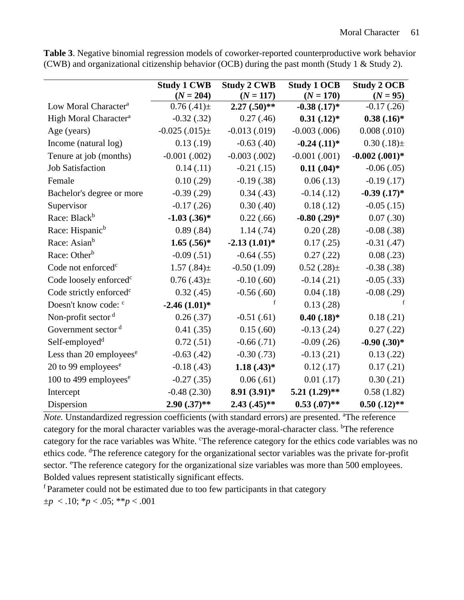|                                     | <b>Study 1 CWB</b> | <b>Study 2 CWB</b> | <b>Study 1 OCB</b> | <b>Study 2 OCB</b>  |
|-------------------------------------|--------------------|--------------------|--------------------|---------------------|
|                                     | $(N = 204)$        | $(N = 117)$        | $(N = 170)$        | $(N = 95)$          |
| Low Moral Character <sup>a</sup>    | $0.76(0.41) \pm$   | $2.27(.50)$ **     | $-0.38$ $(.17)*$   | $-0.17$ $(.26)$     |
| High Moral Character <sup>a</sup>   | $-0.32(0.32)$      | 0.27(0.46)         | $0.31$ $(.12)*$    | $0.38(.16)*$        |
| Age (years)                         | $-0.025(.015) \pm$ | $-0.013(0.019)$    | $-0.003$ $(.006)$  | 0.008(.010)         |
| Income (natural log)                | 0.13(0.19)         | $-0.63$ $(.40)$    | $-0.24$ $(.11)*$   | $0.30(.18) \pm$     |
| Tenure at job (months)              | $-0.001$ $(.002)$  | $-0.003(0.002)$    | $-0.001$ $(.001)$  | $-0.002$ $(.001)$ * |
| <b>Job Satisfaction</b>             | 0.14(0.11)         | $-0.21(0.15)$      | $0.11$ $(.04)*$    | $-0.06(.05)$        |
| Female                              | 0.10(.29)          | $-0.19(0.38)$      | 0.06(0.13)         | $-0.19(0.17)$       |
| Bachelor's degree or more           | $-0.39(0.29)$      | 0.34(0.43)         | $-0.14(0.12)$      | $-0.39$ $(.17)*$    |
| Supervisor                          | $-0.17$ $(.26)$    | 0.30(0.40)         | 0.18(.12)          | $-0.05$ (.15)       |
| Race: Black <sup>b</sup>            | $-1.03$ $(.36)$ *  | 0.22(.66)          | $-0.80$ $(.29)*$   | 0.07(0.30)          |
| Race: Hispanic <sup>b</sup>         | 0.89(.84)          | 1.14(0.74)         | 0.20(.28)          | $-0.08$ $(.38)$     |
| Race: Asian <sup>b</sup>            | $1.65(.56)^*$      | $-2.13(1.01)$ *    | 0.17(0.25)         | $-0.31(0.47)$       |
| Race: Other <sup>b</sup>            | $-0.09(.51)$       | $-0.64(0.55)$      | 0.27(0.22)         | 0.08(0.23)          |
| Code not enforced <sup>c</sup>      | $1.57(.84) \pm$    | $-0.50(1.09)$      | $0.52(.28) \pm$    | $-0.38(.38)$        |
| Code loosely enforced <sup>c</sup>  | $0.76(.43) \pm$    | $-0.10(0.60)$      | $-0.14(0.21)$      | $-0.05$ (.33)       |
| Code strictly enforced <sup>c</sup> | 0.32(0.45)         | $-0.56(.60)$       | 0.04(0.18)         | $-0.08$ $(.29)$     |
| Doesn't know code: <sup>c</sup>     | $-2.46(1.01)*$     | f                  | 0.13(0.28)         | $\mathbf f$         |
| Non-profit sector <sup>d</sup>      | 0.26(.37)          | $-0.51(0.61)$      | $0.40$ $(.18)*$    | 0.18(0.21)          |
| Government sector <sup>d</sup>      | 0.41(.35)          | 0.15(.60)          | $-0.13$ (.24)      | 0.27(0.22)          |
| Self-employed <sup>d</sup>          | 0.72(.51)          | $-0.66(.71)$       | $-0.09$ $(.26)$    | $-0.90(.30)*$       |
| Less than 20 employees <sup>e</sup> | $-0.63(0.42)$      | $-0.30(0.73)$      | $-0.13(0.21)$      | 0.13(0.22)          |
| 20 to 99 employees <sup>e</sup>     | $-0.18(0.43)$      | $1.18(.43)*$       | 0.12(0.17)         | 0.17(0.21)          |
| 100 to 499 employees <sup>e</sup>   | $-0.27(0.35)$      | 0.06(.61)          | $0.01$ (.17)       | 0.30(0.21)          |
| Intercept                           | $-0.48(2.30)$      | $8.91(3.91)^*$     | $5.21(1.29)$ **    | 0.58(1.82)          |
| Dispersion                          | $2.90(.37)$ **     | $2.43(.45)$ **     | $0.53$ $(.07)$ **  | $0.50$ $(.12)$ **   |

**Table 3**. Negative binomial regression models of coworker-reported counterproductive work behavior (CWB) and organizational citizenship behavior (OCB) during the past month (Study 1 & Study 2).

*Note*. Unstandardized regression coefficients (with standard errors) are presented. <sup>a</sup>The reference category for the moral character variables was the average-moral-character class. <sup>b</sup>The reference category for the race variables was White. The reference category for the ethics code variables was no ethics code. <sup>d</sup>The reference category for the organizational sector variables was the private for-profit sector. <sup>e</sup>The reference category for the organizational size variables was more than 500 employees. Bolded values represent statistically significant effects.

<sup>f</sup> Parameter could not be estimated due to too few participants in that category  $\pm p$  < .10; \* $p$  < .05; \*\* $p$  < .001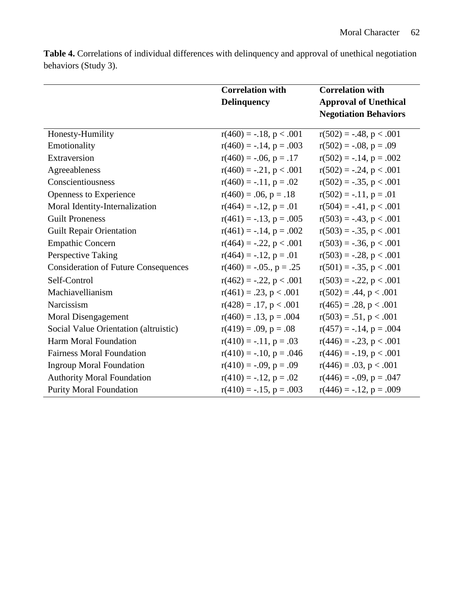**Table 4.** Correlations of individual differences with delinquency and approval of unethical negotiation behaviors (Study 3).

|                                             | <b>Correlation with</b>      | <b>Correlation with</b>      |  |
|---------------------------------------------|------------------------------|------------------------------|--|
|                                             | Delinquency                  | <b>Approval of Unethical</b> |  |
|                                             |                              | <b>Negotiation Behaviors</b> |  |
| Honesty-Humility                            | $r(460) = -.18, p < .001$    | $r(502) = -.48, p < .001$    |  |
| Emotionality                                | $r(460) = -.14$ , $p = .003$ | $r(502) = -.08, p = .09$     |  |
| Extraversion                                | $r(460) = -.06, p = .17$     | $r(502) = -.14$ , $p = .002$ |  |
| Agreeableness                               | $r(460) = -.21, p < .001$    | $r(502) = -.24, p < .001$    |  |
| Conscientiousness                           | $r(460) = -.11$ , $p = .02$  | $r(502) = -.35, p < .001$    |  |
| Openness to Experience                      | $r(460) = .06, p = .18$      | $r(502) = -.11, p = .01$     |  |
| Moral Identity-Internalization              | $r(464) = -.12, p = .01$     | $r(504) = -.41, p < .001$    |  |
| <b>Guilt Proneness</b>                      | $r(461) = -.13$ , $p = .005$ | $r(503) = -.43, p < .001$    |  |
| <b>Guilt Repair Orientation</b>             | $r(461) = -.14$ , $p = .002$ | $r(503) = -.35, p < .001$    |  |
| <b>Empathic Concern</b>                     | $r(464) = -.22, p < .001$    | $r(503) = -.36, p < .001$    |  |
| Perspective Taking                          | $r(464) = -.12, p = .01$     | $r(503) = -.28, p < .001$    |  |
| <b>Consideration of Future Consequences</b> | $r(460) = -.05, p = .25$     | $r(501) = -.35, p < .001$    |  |
| Self-Control                                | $r(462) = -.22, p < .001$    | $r(503) = -.22, p < .001$    |  |
| Machiavellianism                            | $r(461) = .23, p < .001$     | $r(502) = .44, p < .001$     |  |
| Narcissism                                  | $r(428) = .17$ , $p < .001$  | $r(465) = .28, p < .001$     |  |
| Moral Disengagement                         | $r(460) = .13, p = .004$     | $r(503) = .51, p < .001$     |  |
| Social Value Orientation (altruistic)       | $r(419) = .09$ , $p = .08$   | $r(457) = -.14$ , $p = .004$ |  |
| Harm Moral Foundation                       | $r(410) = -.11$ , $p = .03$  | $r(446) = -.23, p < .001$    |  |
| <b>Fairness Moral Foundation</b>            | $r(410) = -.10, p = .046$    | $r(446) = -.19, p < .001$    |  |
| <b>Ingroup Moral Foundation</b>             | $r(410) = -.09, p = .09$     | $r(446) = .03$ , $p < .001$  |  |
| <b>Authority Moral Foundation</b>           | $r(410) = -.12$ , $p = .02$  | $r(446) = -.09$ , $p = .047$ |  |
| <b>Purity Moral Foundation</b>              | $r(410) = -.15$ , $p = .003$ | $r(446) = -.12$ , $p = .009$ |  |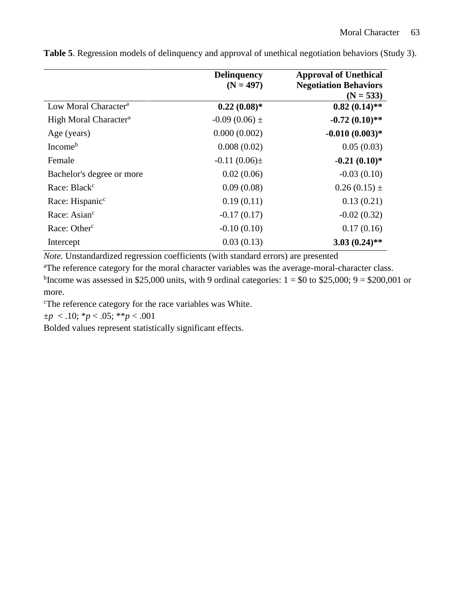|                                   | <b>Delinquency</b><br>$(N = 497)$ | <b>Approval of Unethical</b><br><b>Negotiation Behaviors</b><br>$(N = 533)$ |
|-----------------------------------|-----------------------------------|-----------------------------------------------------------------------------|
| Low Moral Character <sup>a</sup>  | $0.22(0.08)*$                     | $0.82(0.14)$ **                                                             |
| High Moral Character <sup>a</sup> | $-0.09(0.06)$ ±                   | $-0.72(0.10)$ **                                                            |
| Age (years)                       | 0.000(0.002)                      | $-0.010(0.003)*$                                                            |
| Income <sup>b</sup>               | 0.008(0.02)                       | 0.05(0.03)                                                                  |
| Female                            | $-0.11(0.06) \pm$                 | $-0.21(0.10)*$                                                              |
| Bachelor's degree or more         | 0.02(0.06)                        | $-0.03(0.10)$                                                               |
| Race: Black <sup>c</sup>          | 0.09(0.08)                        | $0.26(0.15)$ ±                                                              |
| Race: Hispanic <sup>c</sup>       | 0.19(0.11)                        | 0.13(0.21)                                                                  |
| Race: Asian <sup>c</sup>          | $-0.17(0.17)$                     | $-0.02(0.32)$                                                               |
| Race: Other <sup>c</sup>          | $-0.10(0.10)$                     | 0.17(0.16)                                                                  |
| Intercept                         | 0.03(0.13)                        | $3.03(0.24)$ **                                                             |
|                                   |                                   |                                                                             |

**Table 5**. Regression models of delinquency and approval of unethical negotiation behaviors (Study 3).

*Note.* Unstandardized regression coefficients (with standard errors) are presented

<sup>a</sup>The reference category for the moral character variables was the average-moral-character class. <sup>b</sup>Income was assessed in \$25,000 units, with 9 ordinal categories:  $1 = $0$  to \$25,000;  $9 = $200,001$  or more.

<sup>c</sup>The reference category for the race variables was White.

 $\pm p$  < .10; \* $p$  < .05; \*\* $p$  < .001

Bolded values represent statistically significant effects.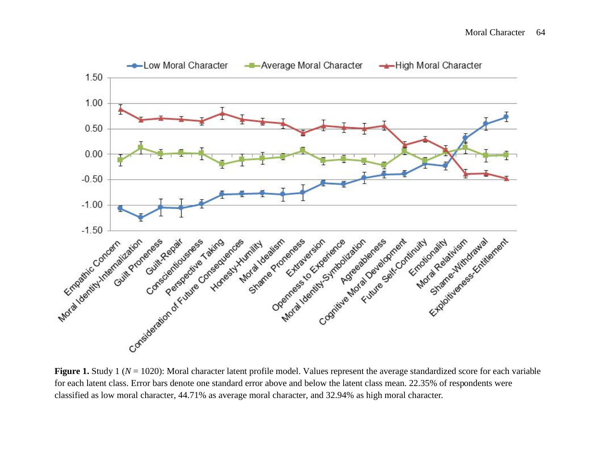

**Figure 1.** Study 1 ( $N = 1020$ ): Moral character latent profile model. Values represent the average standardized score for each variable for each latent class. Error bars denote one standard error above and below the latent class mean. 22.35% of respondents were classified as low moral character, 44.71% as average moral character, and 32.94% as high moral character.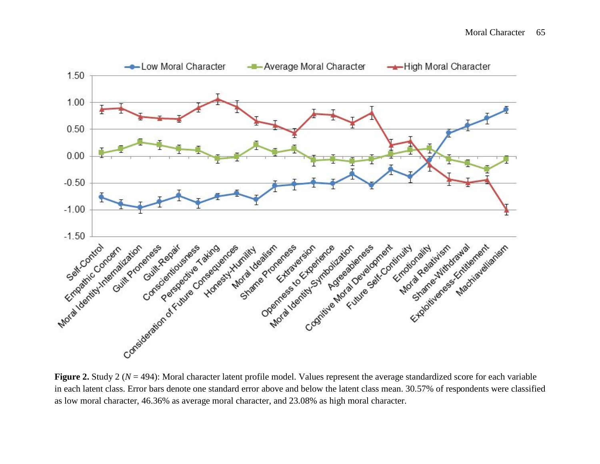

**Figure 2.** Study 2 (*N* = 494): Moral character latent profile model. Values represent the average standardized score for each variable in each latent class. Error bars denote one standard error above and below the latent class mean. 30.57% of respondents were classified as low moral character, 46.36% as average moral character, and 23.08% as high moral character.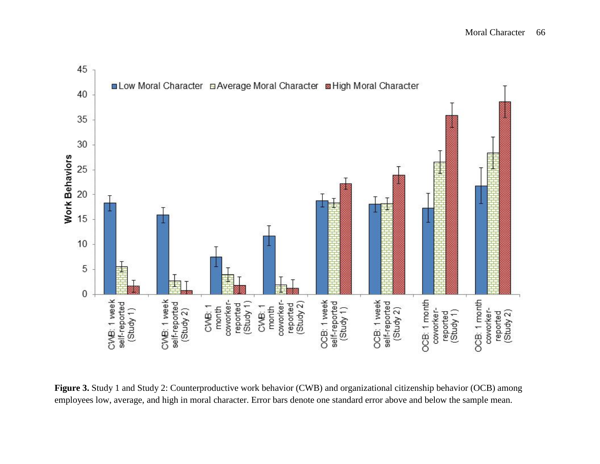

**Figure 3.** Study 1 and Study 2: Counterproductive work behavior (CWB) and organizational citizenship behavior (OCB) among employees low, average, and high in moral character. Error bars denote one standard error above and below the sample mean.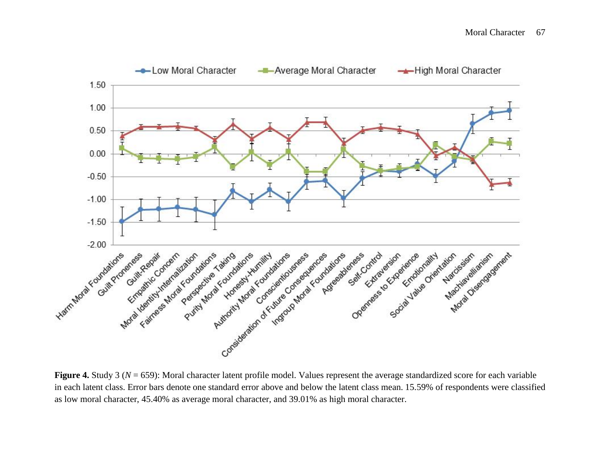

**Figure 4.** Study 3 ( $N = 659$ ): Moral character latent profile model. Values represent the average standardized score for each variable in each latent class. Error bars denote one standard error above and below the latent class mean. 15.59% of respondents were classified as low moral character, 45.40% as average moral character, and 39.01% as high moral character.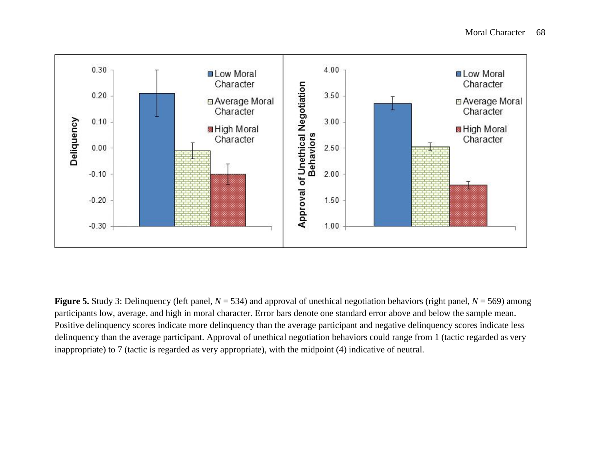

**Figure 5.** Study 3: Delinquency (left panel,  $N = 534$ ) and approval of unethical negotiation behaviors (right panel,  $N = 569$ ) among participants low, average, and high in moral character. Error bars denote one standard error above and below the sample mean. Positive delinquency scores indicate more delinquency than the average participant and negative delinquency scores indicate less delinquency than the average participant. Approval of unethical negotiation behaviors could range from 1 (tactic regarded as very inappropriate) to 7 (tactic is regarded as very appropriate), with the midpoint (4) indicative of neutral.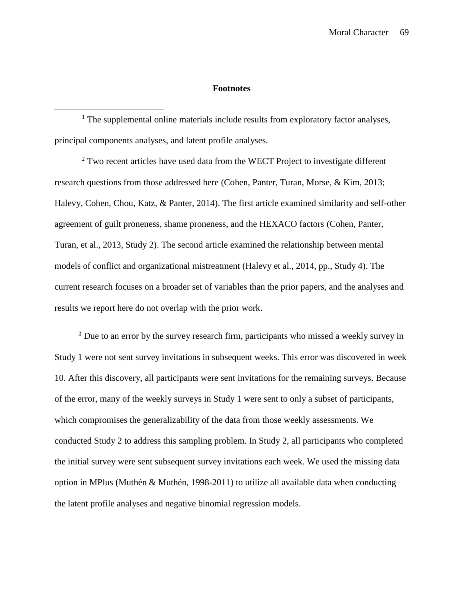#### **Footnotes**

<sup>1</sup> The supplemental online materials include results from exploratory factor analyses, principal components analyses, and latent profile analyses.

 $2$  Two recent articles have used data from the WECT Project to investigate different research questions from those addressed here (Cohen, Panter, Turan, Morse, & Kim, 2013; Halevy, Cohen, Chou, Katz, & Panter, 2014). The first article examined similarity and self-other agreement of guilt proneness, shame proneness, and the HEXACO factors (Cohen, Panter, Turan, et al., 2013, Study 2). The second article examined the relationship between mental models of conflict and organizational mistreatment (Halevy et al., 2014, pp., Study 4). The current research focuses on a broader set of variables than the prior papers, and the analyses and results we report here do not overlap with the prior work.

<sup>3</sup> Due to an error by the survey research firm, participants who missed a weekly survey in Study 1 were not sent survey invitations in subsequent weeks. This error was discovered in week 10. After this discovery, all participants were sent invitations for the remaining surveys. Because of the error, many of the weekly surveys in Study 1 were sent to only a subset of participants, which compromises the generalizability of the data from those weekly assessments. We conducted Study 2 to address this sampling problem. In Study 2, all participants who completed the initial survey were sent subsequent survey invitations each week. We used the missing data option in MPlus (Muthén & Muthén, 1998-2011) to utilize all available data when conducting the latent profile analyses and negative binomial regression models.